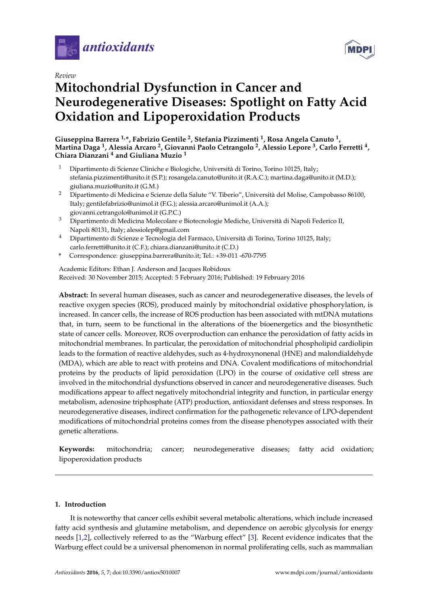

*Review*

# **Mitochondrial Dysfunction in Cancer and Neurodegenerative Diseases: Spotlight on Fatty Acid Oxidation and Lipoperoxidation Products**

**Giuseppina Barrera 1,\*, Fabrizio Gentile <sup>2</sup> , Stefania Pizzimenti <sup>1</sup> , Rosa Angela Canuto <sup>1</sup> , Martina Daga <sup>1</sup> , Alessia Arcaro <sup>2</sup> , Giovanni Paolo Cetrangolo <sup>2</sup> , Alessio Lepore <sup>3</sup> , Carlo Ferretti <sup>4</sup> , Chiara Dianzani <sup>4</sup> and Giuliana Muzio <sup>1</sup>**

- <sup>1</sup> Dipartimento di Scienze Cliniche e Biologiche, Università di Torino, Torino 10125, Italy; stefania.pizzimenti@unito.it (S.P.); rosangela.canuto@unito.it (R.A.C.); martina.daga@unito.it (M.D.); giuliana.muzio@unito.it (G.M.)
- <sup>2</sup> Dipartimento di Medicina e Scienze della Salute "V. Tiberio", Università del Molise, Campobasso 86100, Italy; gentilefabrizio@unimol.it (F.G.); alessia.arcaro@unimol.it (A.A.); giovanni.cetrangolo@unimol.it (G.P.C.)
- <sup>3</sup> Dipartimento di Medicina Molecolare e Biotecnologie Mediche, Università di Napoli Federico II, Napoli 80131, Italy; alessiolep@gmail.com
- <sup>4</sup> Dipartimento di Scienze e Tecnologia del Farmaco, Università di Torino, Torino 10125, Italy; carlo.ferretti@unito.it (C.F.); chiara.dianzani@unito.it (C.D.)
- **\*** Correspondence: giuseppina.barrera@unito.it; Tel.: +39-011 -670-7795

Academic Editors: Ethan J. Anderson and Jacques Robidoux Received: 30 November 2015; Accepted: 5 February 2016; Published: 19 February 2016

**Abstract:** In several human diseases, such as cancer and neurodegenerative diseases, the levels of reactive oxygen species (ROS), produced mainly by mitochondrial oxidative phosphorylation, is increased. In cancer cells, the increase of ROS production has been associated with mtDNA mutations that, in turn, seem to be functional in the alterations of the bioenergetics and the biosynthetic state of cancer cells. Moreover, ROS overproduction can enhance the peroxidation of fatty acids in mitochondrial membranes. In particular, the peroxidation of mitochondrial phospholipid cardiolipin leads to the formation of reactive aldehydes, such as 4-hydroxynonenal (HNE) and malondialdehyde (MDA), which are able to react with proteins and DNA. Covalent modifications of mitochondrial proteins by the products of lipid peroxidation (LPO) in the course of oxidative cell stress are involved in the mitochondrial dysfunctions observed in cancer and neurodegenerative diseases. Such modifications appear to affect negatively mitochondrial integrity and function, in particular energy metabolism, adenosine triphosphate (ATP) production, antioxidant defenses and stress responses. In neurodegenerative diseases, indirect confirmation for the pathogenetic relevance of LPO-dependent modifications of mitochondrial proteins comes from the disease phenotypes associated with their genetic alterations.

**Keywords:** mitochondria; cancer; neurodegenerative diseases; fatty acid oxidation; lipoperoxidation products

# **1. Introduction**

It is noteworthy that cancer cells exhibit several metabolic alterations, which include increased fatty acid synthesis and glutamine metabolism, and dependence on aerobic glycolysis for energy needs [\[1,](#page-16-0)[2\]](#page-16-1), collectively referred to as the "Warburg effect" [\[3\]](#page-16-2). Recent evidence indicates that the Warburg effect could be a universal phenomenon in normal proliferating cells, such as mammalian

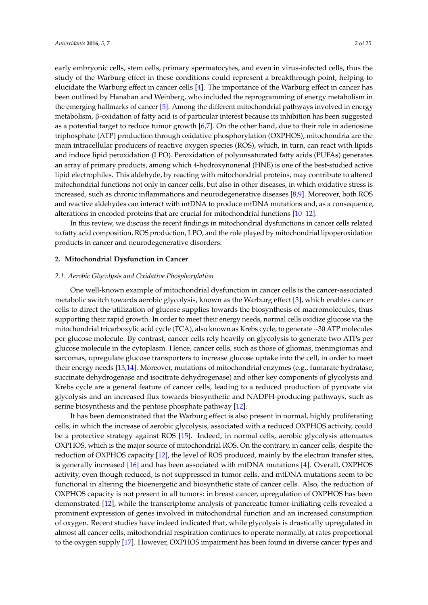early embryonic cells, stem cells, primary spermatocytes, and even in virus-infected cells, thus the study of the Warburg effect in these conditions could represent a breakthrough point, helping to elucidate the Warburg effect in cancer cells [\[4\]](#page-16-3). The importance of the Warburg effect in cancer has been outlined by Hanahan and Weinberg, who included the reprogramming of energy metabolism in the emerging hallmarks of cancer [\[5\]](#page-17-0). Among the different mitochondrial pathways involved in energy metabolism, β-oxidation of fatty acid is of particular interest because its inhibition has been suggested as a potential target to reduce tumor growth [\[6,](#page-17-1)[7\]](#page-17-2). On the other hand, due to their role in adenosine triphosphate (ATP) production through oxidative phosphorylation (OXPHOS), mitochondria are the main intracellular producers of reactive oxygen species (ROS), which, in turn, can react with lipids and induce lipid peroxidation (LPO). Peroxidation of polyunsaturated fatty acids (PUFAs) generates an array of primary products, among which 4-hydroxynonenal (HNE) is one of the best-studied active lipid electrophiles. This aldehyde, by reacting with mitochondrial proteins, may contribute to altered mitochondrial functions not only in cancer cells, but also in other diseases, in which oxidative stress is increased, such as chronic inflammations and neurodegenerative diseases [\[8](#page-17-3)[,9\]](#page-17-4). Moreover, both ROS and reactive aldehydes can interact with mtDNA to produce mtDNA mutations and, as a consequence, alterations in encoded proteins that are crucial for mitochondrial functions [\[10](#page-17-5)[–12\]](#page-17-6).

In this review, we discuss the recent findings in mitochondrial dysfunctions in cancer cells related to fatty acid composition, ROS production, LPO, and the role played by mitochondrial lipoperoxidation products in cancer and neurodegenerative disorders.

# **2. Mitochondrial Dysfunction in Cancer**

#### *2.1. Aerobic Glycolysis and Oxidative Phosphorylation*

One well-known example of mitochondrial dysfunction in cancer cells is the cancer-associated metabolic switch towards aerobic glycolysis, known as the Warburg effect [\[3\]](#page-16-2), which enables cancer cells to direct the utilization of glucose supplies towards the biosynthesis of macromolecules, thus supporting their rapid growth. In order to meet their energy needs, normal cells oxidize glucose via the mitochondrial tricarboxylic acid cycle (TCA), also known as Krebs cycle, to generate ~30 ATP molecules per glucose molecule. By contrast, cancer cells rely heavily on glycolysis to generate two ATPs per glucose molecule in the cytoplasm. Hence, cancer cells, such as those of gliomas, meningiomas and sarcomas, upregulate glucose transporters to increase glucose uptake into the cell, in order to meet their energy needs [\[13](#page-17-7)[,14\]](#page-17-8). Moreover, mutations of mitochondrial enzymes (e.g., fumarate hydratase, succinate dehydrogenase and isocitrate dehydrogenase) and other key components of glycolysis and Krebs cycle are a general feature of cancer cells, leading to a reduced production of pyruvate via glycolysis and an increased flux towards biosynthetic and NADPH-producing pathways, such as serine biosynthesis and the pentose phosphate pathway [\[12\]](#page-17-6).

It has been demonstrated that the Warburg effect is also present in normal, highly proliferating cells, in which the increase of aerobic glycolysis, associated with a reduced OXPHOS activity, could be a protective strategy against ROS [\[15\]](#page-17-9). Indeed, in normal cells, aerobic glycolysis attenuates OXPHOS, which is the major source of mitochondrial ROS. On the contrary, in cancer cells, despite the reduction of OXPHOS capacity [\[12\]](#page-17-6), the level of ROS produced, mainly by the electron transfer sites, is generally increased [\[16\]](#page-17-10) and has been associated with mtDNA mutations [\[4\]](#page-16-3). Overall, OXPHOS activity, even though reduced, is not suppressed in tumor cells, and mtDNA mutations seem to be functional in altering the bioenergetic and biosynthetic state of cancer cells. Also, the reduction of OXPHOS capacity is not present in all tumors: in breast cancer, upregulation of OXPHOS has been demonstrated [\[12\]](#page-17-6), while the transcriptome analysis of pancreatic tumor-initiating cells revealed a prominent expression of genes involved in mitochondrial function and an increased consumption of oxygen. Recent studies have indeed indicated that, while glycolysis is drastically upregulated in almost all cancer cells, mitochondrial respiration continues to operate normally, at rates proportional to the oxygen supply [\[17\]](#page-17-11). However, OXPHOS impairment has been found in diverse cancer types and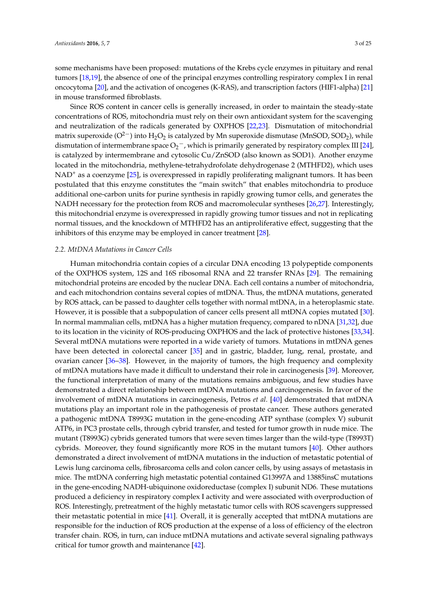some mechanisms have been proposed: mutations of the Krebs cycle enzymes in pituitary and renal tumors [\[18](#page-17-12)[,19\]](#page-17-13), the absence of one of the principal enzymes controlling respiratory complex I in renal oncocytoma [\[20\]](#page-17-14), and the activation of oncogenes (K-RAS), and transcription factors (HIF1-alpha) [\[21\]](#page-17-15) in mouse transformed fibroblasts.

Since ROS content in cancer cells is generally increased, in order to maintain the steady-state concentrations of ROS, mitochondria must rely on their own antioxidant system for the scavenging and neutralization of the radicals generated by OXPHOS [\[22](#page-17-16)[,23\]](#page-17-17). Dismutation of mitochondrial matrix superoxide ( $O^{2-}$ ) into  $H_2O_2$  is catalyzed by Mn superoxide dismutase (MnSOD, SOD<sub>2</sub>), while dismutation of intermembrane space  $O_2^-$ , which is primarily generated by respiratory complex III [\[24\]](#page-17-18), is catalyzed by intermembrane and cytosolic Cu/ZnSOD (also known as SOD1). Another enzyme located in the mitochondria, methylene-tetrahydrofolate dehydrogenase 2 (MTHFD2), which uses  $NAD<sup>+</sup>$  as a coenzyme  $[25]$ , is overexpressed in rapidly proliferating malignant tumors. It has been postulated that this enzyme constitutes the "main switch" that enables mitochondria to produce additional one-carbon units for purine synthesis in rapidly growing tumor cells, and generates the NADH necessary for the protection from ROS and macromolecular syntheses [\[26](#page-17-20)[,27\]](#page-17-21). Interestingly, this mitochondrial enzyme is overexpressed in rapidly growing tumor tissues and not in replicating normal tissues, and the knockdown of MTHFD2 has an antiproliferative effect, suggesting that the inhibitors of this enzyme may be employed in cancer treatment [\[28\]](#page-18-0).

#### *2.2. MtDNA Mutations in Cancer Cells*

Human mitochondria contain copies of a circular DNA encoding 13 polypeptide components of the OXPHOS system, 12S and 16S ribosomal RNA and 22 transfer RNAs [\[29\]](#page-18-1). The remaining mitochondrial proteins are encoded by the nuclear DNA. Each cell contains a number of mitochondria, and each mitochondrion contains several copies of mtDNA. Thus, the mtDNA mutations, generated by ROS attack, can be passed to daughter cells together with normal mtDNA, in a heteroplasmic state. However, it is possible that a subpopulation of cancer cells present all mtDNA copies mutated [\[30\]](#page-18-2). In normal mammalian cells, mtDNA has a higher mutation frequency, compared to nDNA [\[31,](#page-18-3)[32\]](#page-18-4), due to its location in the vicinity of ROS-producing OXPHOS and the lack of protective histones [\[33,](#page-18-5)[34\]](#page-18-6). Several mtDNA mutations were reported in a wide variety of tumors. Mutations in mtDNA genes have been detected in colorectal cancer [\[35\]](#page-18-7) and in gastric, bladder, lung, renal, prostate, and ovarian cancer [\[36](#page-18-8)[–38\]](#page-18-9). However, in the majority of tumors, the high frequency and complexity of mtDNA mutations have made it difficult to understand their role in carcinogenesis [\[39\]](#page-18-10). Moreover, the functional interpretation of many of the mutations remains ambiguous, and few studies have demonstrated a direct relationship between mtDNA mutations and carcinogenesis. In favor of the involvement of mtDNA mutations in carcinogenesis, Petros *et al.* [\[40\]](#page-18-11) demonstrated that mtDNA mutations play an important role in the pathogenesis of prostate cancer. These authors generated a pathogenic mtDNA T8993G mutation in the gene-encoding ATP synthase (complex V) subunit ATP6, in PC3 prostate cells, through cybrid transfer, and tested for tumor growth in nude mice. The mutant (T8993G) cybrids generated tumors that were seven times larger than the wild-type (T8993T) cybrids. Moreover, they found significantly more ROS in the mutant tumors [\[40\]](#page-18-11). Other authors demonstrated a direct involvement of mtDNA mutations in the induction of metastatic potential of Lewis lung carcinoma cells, fibrosarcoma cells and colon cancer cells, by using assays of metastasis in mice. The mtDNA conferring high metastatic potential contained G13997A and 13885insC mutations in the gene-encoding NADH-ubiquinone oxidoreductase (complex I) subunit ND6. These mutations produced a deficiency in respiratory complex I activity and were associated with overproduction of ROS. Interestingly, pretreatment of the highly metastatic tumor cells with ROS scavengers suppressed their metastatic potential in mice [\[41\]](#page-18-12). Overall, it is generally accepted that mtDNA mutations are responsible for the induction of ROS production at the expense of a loss of efficiency of the electron transfer chain. ROS, in turn, can induce mtDNA mutations and activate several signaling pathways critical for tumor growth and maintenance [\[42\]](#page-18-13).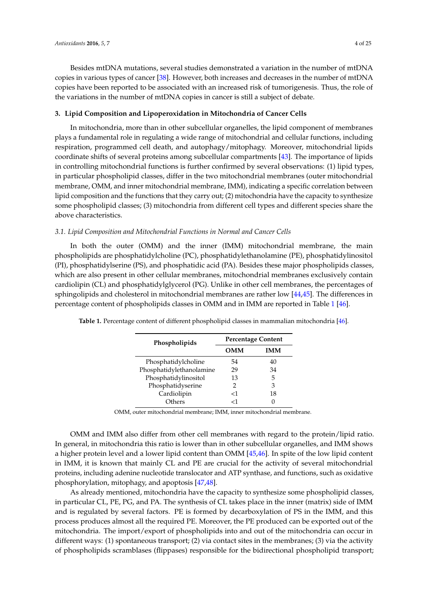Besides mtDNA mutations, several studies demonstrated a variation in the number of mtDNA copies in various types of cancer [\[38\]](#page-18-9). However, both increases and decreases in the number of mtDNA copies have been reported to be associated with an increased risk of tumorigenesis. Thus, the role of the variations in the number of mtDNA copies in cancer is still a subject of debate.

# **3. Lipid Composition and Lipoperoxidation in Mitochondria of Cancer Cells**

In mitochondria, more than in other subcellular organelles, the lipid component of membranes plays a fundamental role in regulating a wide range of mitochondrial and cellular functions, including respiration, programmed cell death, and autophagy/mitophagy. Moreover, mitochondrial lipids coordinate shifts of several proteins among subcellular compartments [\[43\]](#page-18-14). The importance of lipids in controlling mitochondrial functions is further confirmed by several observations: (1) lipid types, in particular phospholipid classes, differ in the two mitochondrial membranes (outer mitochondrial membrane, OMM, and inner mitochondrial membrane, IMM), indicating a specific correlation between lipid composition and the functions that they carry out; (2) mitochondria have the capacity to synthesize some phospholipid classes; (3) mitochondria from different cell types and different species share the above characteristics.

# *3.1. Lipid Composition and Mitochondrial Functions in Normal and Cancer Cells*

In both the outer (OMM) and the inner (IMM) mitochondrial membrane, the main phospholipids are phosphatidylcholine (PC), phosphatidylethanolamine (PE), phosphatidylinositol (PI), phosphatidylserine (PS), and phosphatidic acid (PA). Besides these major phospholipids classes, which are also present in other cellular membranes, mitochondrial membranes exclusively contain cardiolipin (CL) and phosphatidylglycerol (PG). Unlike in other cell membranes, the percentages of sphingolipids and cholesterol in mitochondrial membranes are rather low [\[44,](#page-18-15)[45\]](#page-18-16). The differences in percentage content of phospholipids classes in OMM and in IMM are reported in Table [1](#page-3-0) [\[46\]](#page-18-17).

| Phospholipids            | <b>Percentage Content</b> |     |  |
|--------------------------|---------------------------|-----|--|
|                          | OMM                       | IMM |  |
| Phosphatidylcholine      | 54                        | 40  |  |
| Phosphatidylethanolamine | 29                        | 34  |  |
| Phosphatidylinositol     | 13                        | 5   |  |
| Phosphatidyserine        | 2                         | 3   |  |
| Cardiolipin              | -1                        | 18  |  |
| Others                   |                           |     |  |

<span id="page-3-0"></span>**Table 1.** Percentage content of different phospholipid classes in mammalian mitochondria [\[46\]](#page-18-17).

OMM, outer mitochondrial membrane; IMM, inner mitochondrial membrane.

OMM and IMM also differ from other cell membranes with regard to the protein/lipid ratio. In general, in mitochondria this ratio is lower than in other subcellular organelles, and IMM shows a higher protein level and a lower lipid content than OMM [\[45](#page-18-16)[,46\]](#page-18-17). In spite of the low lipid content in IMM, it is known that mainly CL and PE are crucial for the activity of several mitochondrial proteins, including adenine nucleotide translocator and ATP synthase, and functions, such as oxidative phosphorylation, mitophagy, and apoptosis [\[47](#page-18-18)[,48\]](#page-18-19).

As already mentioned, mitochondria have the capacity to synthesize some phospholipid classes, in particular CL, PE, PG, and PA. The synthesis of CL takes place in the inner (matrix) side of IMM and is regulated by several factors. PE is formed by decarboxylation of PS in the IMM, and this process produces almost all the required PE. Moreover, the PE produced can be exported out of the mitochondria. The import/export of phospholipids into and out of the mitochondria can occur in different ways: (1) spontaneous transport; (2) via contact sites in the membranes; (3) via the activity of phospholipids scramblases (flippases) responsible for the bidirectional phospholipid transport;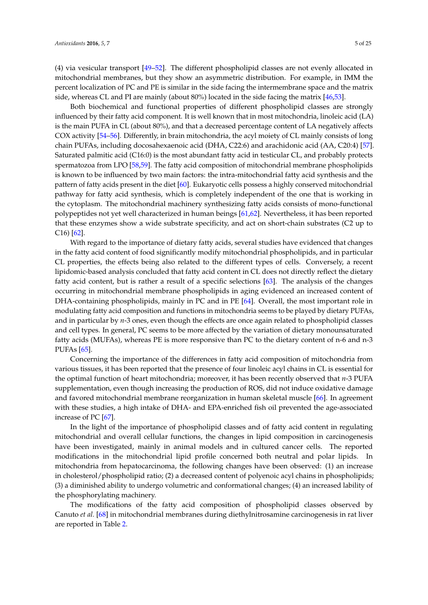(4) via vesicular transport [\[49–](#page-19-0)[52\]](#page-19-1). The different phospholipid classes are not evenly allocated in mitochondrial membranes, but they show an asymmetric distribution. For example, in IMM the percent localization of PC and PE is similar in the side facing the intermembrane space and the matrix side, whereas CL and PI are mainly (about 80%) located in the side facing the matrix [\[46](#page-18-17)[,53\]](#page-19-2).

Both biochemical and functional properties of different phospholipid classes are strongly influenced by their fatty acid component. It is well known that in most mitochondria, linoleic acid (LA) is the main PUFA in CL (about 80%), and that a decreased percentage content of LA negatively affects COX activity [\[54](#page-19-3)[–56\]](#page-19-4). Differently, in brain mitochondria, the acyl moiety of CL mainly consists of long chain PUFAs, including docosahexaenoic acid (DHA, C22:6) and arachidonic acid (AA, C20:4) [\[57\]](#page-19-5). Saturated palmitic acid (C16:0) is the most abundant fatty acid in testicular CL, and probably protects spermatozoa from LPO [\[58](#page-19-6)[,59\]](#page-19-7). The fatty acid composition of mitochondrial membrane phospholipids is known to be influenced by two main factors: the intra-mitochondrial fatty acid synthesis and the pattern of fatty acids present in the diet [\[60\]](#page-19-8). Eukaryotic cells possess a highly conserved mitochondrial pathway for fatty acid synthesis, which is completely independent of the one that is working in the cytoplasm. The mitochondrial machinery synthesizing fatty acids consists of mono-functional polypeptides not yet well characterized in human beings [\[61,](#page-19-9)[62\]](#page-19-10). Nevertheless, it has been reported that these enzymes show a wide substrate specificity, and act on short-chain substrates (C2 up to C16) [\[62\]](#page-19-10).

With regard to the importance of dietary fatty acids, several studies have evidenced that changes in the fatty acid content of food significantly modify mitochondrial phospholipids, and in particular CL properties, the effects being also related to the different types of cells. Conversely, a recent lipidomic-based analysis concluded that fatty acid content in CL does not directly reflect the dietary fatty acid content, but is rather a result of a specific selections [\[63\]](#page-19-11). The analysis of the changes occurring in mitochondrial membrane phospholipids in aging evidenced an increased content of DHA-containing phospholipids, mainly in PC and in PE [\[64\]](#page-19-12). Overall, the most important role in modulating fatty acid composition and functions in mitochondria seems to be played by dietary PUFAs, and in particular by *n*-3 ones, even though the effects are once again related to phospholipid classes and cell types. In general, PC seems to be more affected by the variation of dietary monounsaturated fatty acids (MUFAs), whereas PE is more responsive than PC to the dietary content of n-6 and n-3 PUFAs [\[65\]](#page-19-13).

Concerning the importance of the differences in fatty acid composition of mitochondria from various tissues, it has been reported that the presence of four linoleic acyl chains in CL is essential for the optimal function of heart mitochondria; moreover, it has been recently observed that *n*-3 PUFA supplementation, even though increasing the production of ROS, did not induce oxidative damage and favored mitochondrial membrane reorganization in human skeletal muscle [\[66\]](#page-19-14). In agreement with these studies, a high intake of DHA- and EPA-enriched fish oil prevented the age-associated increase of PC [\[67\]](#page-19-15).

In the light of the importance of phospholipid classes and of fatty acid content in regulating mitochondrial and overall cellular functions, the changes in lipid composition in carcinogenesis have been investigated, mainly in animal models and in cultured cancer cells. The reported modifications in the mitochondrial lipid profile concerned both neutral and polar lipids. In mitochondria from hepatocarcinoma, the following changes have been observed: (1) an increase in cholesterol/phospholipid ratio; (2) a decreased content of polyenoic acyl chains in phospholipids; (3) a diminished ability to undergo volumetric and conformational changes; (4) an increased lability of the phosphorylating machinery.

The modifications of the fatty acid composition of phospholipid classes observed by Canuto *et al.* [\[68\]](#page-19-16) in mitochondrial membranes during diethylnitrosamine carcinogenesis in rat liver are reported in Table [2.](#page-5-0)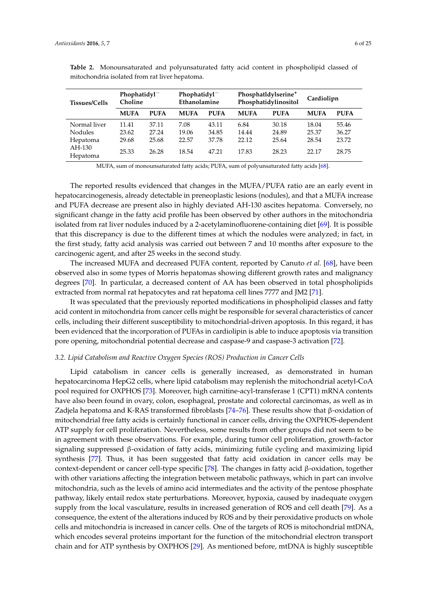| $Phophatidyl^-$<br>Ethanolamine |                | Phosphatldylserine <sup>+</sup><br>Phosphatidylinositol |                | Cardiolipn     |                |
|---------------------------------|----------------|---------------------------------------------------------|----------------|----------------|----------------|
| <b>MUFA</b>                     | <b>PUFA</b>    | <b>MUFA</b>                                             | <b>PUFA</b>    | <b>MUFA</b>    | <b>PUFA</b>    |
| 7.08<br>19.06                   | 43.11<br>34.85 | 6.84<br>14.44                                           | 30.18<br>24.89 | 18.04<br>25.37 | 55.46<br>36.27 |
| 22.57<br>18.54                  | 37.78<br>47.21 | 22.12<br>17.83                                          | 25.64<br>28.23 | 28.54<br>22.17 | 23.72<br>28.75 |
|                                 |                |                                                         |                |                |                |

<span id="page-5-0"></span>**Table 2.** Monounsaturated and polyunsaturated fatty acid content in phospholipid classed of mitochondria isolated from rat liver hepatoma.

MUFA, sum of monounsaturated fatty acids; PUFA, sum of polyunsaturated fatty acids [\[68\]](#page-19-16).

The reported results evidenced that changes in the MUFA/PUFA ratio are an early event in hepatocarcinogenesis, already detectable in preneoplastic lesions (nodules), and that a MUFA increase and PUFA decrease are present also in highly deviated AH-130 ascites hepatoma. Conversely, no significant change in the fatty acid profile has been observed by other authors in the mitochondria isolated from rat liver nodules induced by a 2-acetylaminofluorene-containing diet [\[69\]](#page-20-0). It is possible that this discrepancy is due to the different times at which the nodules were analyzed; in fact, in the first study, fatty acid analysis was carried out between 7 and 10 months after exposure to the carcinogenic agent, and after 25 weeks in the second study.

The increased MUFA and decreased PUFA content, reported by Canuto *et al.* [\[68\]](#page-19-16), have been observed also in some types of Morris hepatomas showing different growth rates and malignancy degrees [\[70\]](#page-20-1). In particular, a decreased content of AA has been observed in total phospholipids extracted from normal rat hepatocytes and rat hepatoma cell lines 7777 and JM2 [\[71\]](#page-20-2).

It was speculated that the previously reported modifications in phospholipid classes and fatty acid content in mitochondria from cancer cells might be responsible for several characteristics of cancer cells, including their different susceptibility to mitochondrial-driven apoptosis. In this regard, it has been evidenced that the incorporation of PUFAs in cardiolipin is able to induce apoptosis via transition pore opening, mitochondrial potential decrease and caspase-9 and caspase-3 activation [\[72\]](#page-20-3).

## *3.2. Lipid Catabolism and Reactive Oxygen Species (ROS) Production in Cancer Cells*

Lipid catabolism in cancer cells is generally increased, as demonstrated in human hepatocarcinoma HepG2 cells, where lipid catabolism may replenish the mitochondrial acetyl-CoA pool required for OXPHOS [\[73\]](#page-20-4). Moreover, high carnitine-acyl-transferase 1 (CPT1) mRNA contents have also been found in ovary, colon, esophageal, prostate and colorectal carcinomas, as well as in Zadjela hepatoma and K-RAS transformed fibroblasts [\[74](#page-20-5)[–76\]](#page-20-6). These results show that β-oxidation of mitochondrial free fatty acids is certainly functional in cancer cells, driving the OXPHOS-dependent ATP supply for cell proliferation. Nevertheless, some results from other groups did not seem to be in agreement with these observations. For example, during tumor cell proliferation, growth-factor signaling suppressed β-oxidation of fatty acids, minimizing futile cycling and maximizing lipid synthesis [\[77\]](#page-20-7). Thus, it has been suggested that fatty acid oxidation in cancer cells may be context-dependent or cancer cell-type specific [\[78\]](#page-20-8). The changes in fatty acid β-oxidation, together with other variations affecting the integration between metabolic pathways, which in part can involve mitochondria, such as the levels of amino acid intermediates and the activity of the pentose phosphate pathway, likely entail redox state perturbations. Moreover, hypoxia, caused by inadequate oxygen supply from the local vasculature, results in increased generation of ROS and cell death [\[79\]](#page-20-9). As a consequence, the extent of the alterations induced by ROS and by their peroxidative products on whole cells and mitochondria is increased in cancer cells. One of the targets of ROS is mitochondrial mtDNA, which encodes several proteins important for the function of the mitochondrial electron transport chain and for ATP synthesis by OXPHOS [\[29\]](#page-18-1). As mentioned before, mtDNA is highly susceptible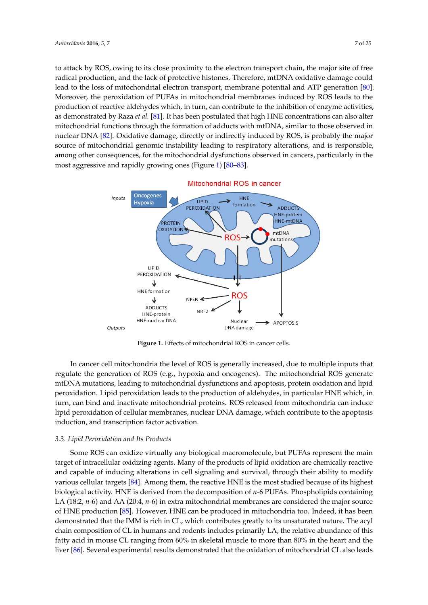to attack by ROS, owing to its close proximity to the electron transport chain, the major site of free radical production, and the lack of protective histones. Therefore, mtDNA oxidative damage could lead to the loss of mitochondrial electron transport, membrane potential and ATP generation [\[80\]](#page-20-10). Moreover, the peroxidation of PUFAs in mitochondrial membranes induced by ROS leads to the production of reactive aldehydes which, in turn, can contribute to the inhibition of enzyme activities, as demonstrated by Raza *et al.* [\[81\]](#page-20-11). It has been postulated that high HNE concentrations can also alter mitochondrial functions through the formation of adducts with mtDNA, similar to those observed in nuclear DNA [\[82\]](#page-20-12). Oxidative damage, directly or indirectly induced by ROS, is probably the major source of mitochondrial genomic instability leading to respiratory alterations, and is responsible, among other consequences, for the mitochondrial dysfunctions observed in cancers, particularly in the most aggressive and rapidly growing ones (Figure [1\)](#page-6-0) [\[80–](#page-20-10)[83\]](#page-20-13).

<span id="page-6-0"></span>

**Figure 1.** Effects of mitochondrial ROS in cancer cells. **Figure 1.** Effects of mitochondrial ROS in cancer cells.

In cancer cell mitochondria the level of ROS is generally increased, due to multiple inputs that regulate the generation of ROS (e.g., hypoxia and oncogenes). The mitochondrial ROS generate mtDNA mutations, leading to mitochondrial dysfunctions and apoptosis, protein oxidation and lipid peroxidation. Lipid peroxidation leads to the production of aldehydes, in particular HNE which, in turn, can bind and inactivate mitochondrial proteins. ROS released from mitochondria can induce ipid peroxidation of cellular membranes, nuclear DNA damage, which contribute to the apoptosis *3.3. Lipid Peroxidation and Its Products* induction, and transcription factor activation.

# 3.3. Lipid Peroxidation and Its Products

Some ROS can oxidize virtually any biological macromolecule, but PUFAs represent the main target of intracellular oxidizing agents. Many of the products of lipid oxidation are chemically reactive and capable of inducing alterations in cell signaling and survival, through their ability to modify various cellular targets [\[84\]](#page-20-14). Among them, the reactive HNE is the most studied because of its highest biological activity. HNE is derived from the decomposition of *n*-6 PUFAs. Phospholipids containing LA (18:2, *n*-6) and AA (20:4, *n*-6) in extra mitochondrial membranes are considered the major source of HNE production [\[85\]](#page-20-15). However, HNE can be produced in mitochondria too. Indeed, it has been  $t_{\text{ref}}$  abundance of the relative abundance of this factor  $\sigma$  is more from 60% in skeletal muscle to more  $\sigma$ demonstrated that the IMM is rich in CL, which contributes greatly to its unsaturated nature. The acyl chain composition of CL in humans and rodents includes primarily LA, the relative abundance of this fatty acid in mouse CL ranging from 60% in skeletal muscle to more than 80% in the heart and the liver [\[86\]](#page-20-16). Several experimental results demonstrated that the oxidation of mitochondrial CL also leads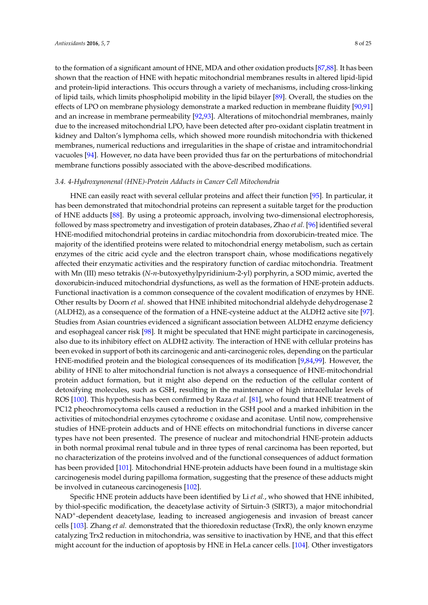to the formation of a significant amount of HNE, MDA and other oxidation products [\[87](#page-20-17)[,88\]](#page-20-18). It has been shown that the reaction of HNE with hepatic mitochondrial membranes results in altered lipid-lipid and protein-lipid interactions. This occurs through a variety of mechanisms, including cross-linking of lipid tails, which limits phospholipid mobility in the lipid bilayer [\[89\]](#page-21-0). Overall, the studies on the effects of LPO on membrane physiology demonstrate a marked reduction in membrane fluidity [\[90,](#page-21-1)[91\]](#page-21-2) and an increase in membrane permeability [\[92,](#page-21-3)[93\]](#page-21-4). Alterations of mitochondrial membranes, mainly due to the increased mitochondrial LPO, have been detected after pro-oxidant cisplatin treatment in kidney and Dalton's lymphoma cells, which showed more roundish mitochondria with thickened membranes, numerical reductions and irregularities in the shape of cristae and intramitochondrial vacuoles [\[94\]](#page-21-5). However, no data have been provided thus far on the perturbations of mitochondrial membrane functions possibly associated with the above-described modifications.

#### *3.4. 4-Hydroxynonenal (HNE)-Protein Adducts in Cancer Cell Mitochondria*

HNE can easily react with several cellular proteins and affect their function [\[95\]](#page-21-6). In particular, it has been demonstrated that mitochondrial proteins can represent a suitable target for the production of HNE adducts [\[88\]](#page-20-18). By using a proteomic approach, involving two-dimensional electrophoresis, followed by mass spectrometry and investigation of protein databases, Zhao *et al.* [\[96\]](#page-21-7) identified several HNE-modified mitochondrial proteins in cardiac mitochondria from doxorubicin-treated mice. The majority of the identified proteins were related to mitochondrial energy metabolism, such as certain enzymes of the citric acid cycle and the electron transport chain, whose modifications negatively affected their enzymatic activities and the respiratory function of cardiac mitochondria. Treatment with Mn (III) meso tetrakis (*N*-*n*-butoxyethylpyridinium-2-yl) porphyrin, a SOD mimic, averted the doxorubicin-induced mitochondrial dysfunctions, as well as the formation of HNE-protein adducts. Functional inactivation is a common consequence of the covalent modification of enzymes by HNE. Other results by Doorn *et al.* showed that HNE inhibited mitochondrial aldehyde dehydrogenase 2 (ALDH2), as a consequence of the formation of a HNE-cysteine adduct at the ALDH2 active site [\[97\]](#page-21-8). Studies from Asian countries evidenced a significant association between ALDH2 enzyme deficiency and esophageal cancer risk [\[98\]](#page-21-9). It might be speculated that HNE might participate in carcinogenesis, also due to its inhibitory effect on ALDH2 activity. The interaction of HNE with cellular proteins has been evoked in support of both its carcinogenic and anti-carcinogenic roles, depending on the particular HNE-modified protein and the biological consequences of its modification [\[9,](#page-17-4)[84,](#page-20-14)[99\]](#page-21-10). However, the ability of HNE to alter mitochondrial function is not always a consequence of HNE-mitochondrial protein adduct formation, but it might also depend on the reduction of the cellular content of detoxifying molecules, such as GSH, resulting in the maintenance of high intracellular levels of ROS [\[100\]](#page-21-11). This hypothesis has been confirmed by Raza *et al.* [\[81\]](#page-20-11), who found that HNE treatment of PC12 pheochromocytoma cells caused a reduction in the GSH pool and a marked inhibition in the activities of mitochondrial enzymes cytochrome c oxidase and aconitase. Until now, comprehensive studies of HNE-protein adducts and of HNE effects on mitochondrial functions in diverse cancer types have not been presented. The presence of nuclear and mitochondrial HNE-protein adducts in both normal proximal renal tubule and in three types of renal carcinoma has been reported, but no characterization of the proteins involved and of the functional consequences of adduct formation has been provided [\[101\]](#page-21-12). Mitochondrial HNE-protein adducts have been found in a multistage skin carcinogenesis model during papilloma formation, suggesting that the presence of these adducts might be involved in cutaneous carcinogenesis [\[102\]](#page-21-13).

Specific HNE protein adducts have been identified by Li *et al.*, who showed that HNE inhibited, by thiol-specific modification, the deacetylase activity of Sirtuin-3 (SIRT3), a major mitochondrial NAD<sup>+</sup>-dependent deacetylase, leading to increased angiogenesis and invasion of breast cancer cells [\[103\]](#page-21-14). Zhang *et al.* demonstrated that the thioredoxin reductase (TrxR), the only known enzyme catalyzing Trx2 reduction in mitochondria, was sensitive to inactivation by HNE, and that this effect might account for the induction of apoptosis by HNE in HeLa cancer cells. [\[104\]](#page-21-15). Other investigators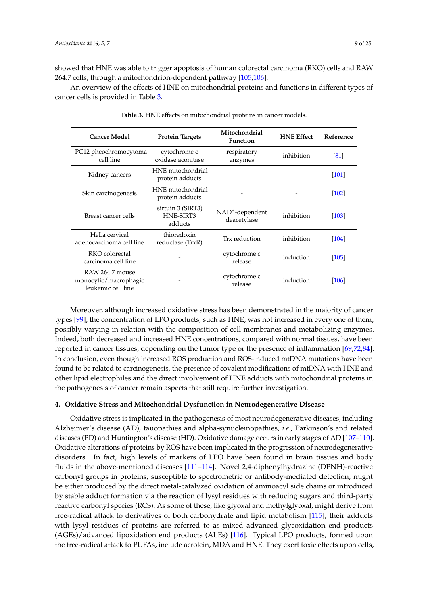showed that HNE was able to trigger apoptosis of human colorectal carcinoma (RKO) cells and RAW 264.7 cells, through a mitochondrion-dependent pathway [\[105](#page-21-16)[,106\]](#page-21-17).

<span id="page-8-0"></span>An overview of the effects of HNE on mitochondrial proteins and functions in different types of cancer cells is provided in Table [3.](#page-8-0)

| <b>Cancer Model</b>                                            | <b>Protein Targets</b>                    | Mitochondrial<br><b>Function</b>  | <b>HNE Effect</b> | Reference          |
|----------------------------------------------------------------|-------------------------------------------|-----------------------------------|-------------------|--------------------|
| PC12 pheochromocytoma<br>cell line                             | cytochrome c<br>oxidase aconitase         | respiratory<br>enzymes            | inhibition        | $\lceil 81 \rceil$ |
| Kidney cancers                                                 | HNE-mitochondrial<br>protein adducts      |                                   |                   | $\vert 101 \vert$  |
| Skin carcinogenesis                                            | HNE-mitochondrial<br>protein adducts      |                                   |                   | $\vert 102 \vert$  |
| Breast cancer cells                                            | sirtuin 3 (SIRT3)<br>HNE-SIRT3<br>adducts | $NAD^+$ -dependent<br>deacetylase | inhibition        | $\vert 103 \vert$  |
| HeLa cervical<br>adenocarcinoma cell line                      | thioredoxin<br>reductase (TrxR)           | Trx reduction                     | inhibition        | 104                |
| RKO colorectal<br>carcinoma cell line                          |                                           | cytochrome c<br>release           | induction         | $\vert 105 \vert$  |
| RAW 264.7 mouse<br>monocytic/macrophagic<br>leukemic cell line |                                           | cytochrome c<br>release           | induction         | $\vert 106 \vert$  |

**Table 3.** HNE effects on mitochondrial proteins in cancer models.

Moreover, although increased oxidative stress has been demonstrated in the majority of cancer types [\[99\]](#page-21-10), the concentration of LPO products, such as HNE, was not increased in every one of them, possibly varying in relation with the composition of cell membranes and metabolizing enzymes. Indeed, both decreased and increased HNE concentrations, compared with normal tissues, have been reported in cancer tissues, depending on the tumor type or the presence of inflammation [\[69,](#page-20-0)[72,](#page-20-3)[84\]](#page-20-14). In conclusion, even though increased ROS production and ROS-induced mtDNA mutations have been found to be related to carcinogenesis, the presence of covalent modifications of mtDNA with HNE and other lipid electrophiles and the direct involvement of HNE adducts with mitochondrial proteins in the pathogenesis of cancer remain aspects that still require further investigation.

# **4. Oxidative Stress and Mitochondrial Dysfunction in Neurodegenerative Disease**

Oxidative stress is implicated in the pathogenesis of most neurodegenerative diseases, including Alzheimer's disease (AD), tauopathies and alpha-synucleinopathies, *i.e.*, Parkinson's and related diseases (PD) and Huntington's disease (HD). Oxidative damage occurs in early stages of AD [\[107–](#page-21-18)[110\]](#page-22-0). Oxidative alterations of proteins by ROS have been implicated in the progression of neurodegenerative disorders. In fact, high levels of markers of LPO have been found in brain tissues and body fluids in the above-mentioned diseases [\[111](#page-22-1)[–114\]](#page-22-2). Novel 2,4-diphenylhydrazine (DPNH)-reactive carbonyl groups in proteins, susceptible to spectrometric or antibody-mediated detection, might be either produced by the direct metal-catalyzed oxidation of aminoacyl side chains or introduced by stable adduct formation via the reaction of lysyl residues with reducing sugars and third-party reactive carbonyl species (RCS). As some of these, like glyoxal and methylglyoxal, might derive from free-radical attack to derivatives of both carbohydrate and lipid metabolism [\[115\]](#page-22-3), their adducts with lysyl residues of proteins are referred to as mixed advanced glycoxidation end products (AGEs)/advanced lipoxidation end products (ALEs) [\[116\]](#page-22-4). Typical LPO products, formed upon the free-radical attack to PUFAs, include acrolein, MDA and HNE. They exert toxic effects upon cells,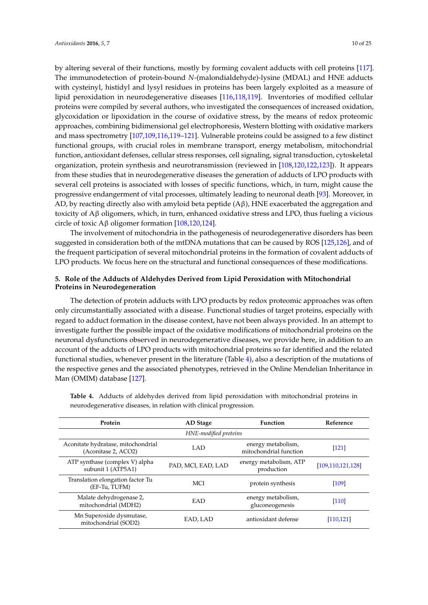by altering several of their functions, mostly by forming covalent adducts with cell proteins [\[117\]](#page-22-5). The immunodetection of protein-bound *N*-(malondialdehyde)-lysine (MDAL) and HNE adducts with cysteinyl, histidyl and lysyl residues in proteins has been largely exploited as a measure of lipid peroxidation in neurodegenerative diseases [\[116,](#page-22-4)[118,](#page-22-6)[119\]](#page-22-7). Inventories of modified cellular proteins were compiled by several authors, who investigated the consequences of increased oxidation, glycoxidation or lipoxidation in the course of oxidative stress, by the means of redox proteomic approaches, combining bidimensional gel electrophoresis, Western blotting with oxidative markers and mass spectrometry [\[107](#page-21-18)[,109,](#page-22-8)[116,](#page-22-4)[119](#page-22-7)[–121\]](#page-22-9). Vulnerable proteins could be assigned to a few distinct functional groups, with crucial roles in membrane transport, energy metabolism, mitochondrial function, antioxidant defenses, cellular stress responses, cell signaling, signal transduction, cytoskeletal organization, protein synthesis and neurotransmission (reviewed in [\[108,](#page-21-19)[120,](#page-22-10)[122,](#page-22-11)[123\]](#page-22-12)). It appears from these studies that in neurodegenerative diseases the generation of adducts of LPO products with several cell proteins is associated with losses of specific functions, which, in turn, might cause the progressive endangerment of vital processes, ultimately leading to neuronal death [\[93\]](#page-21-4). Moreover, in AD, by reacting directly also with amyloid beta peptide (Aβ), HNE exacerbated the aggregation and toxicity of Aβ oligomers, which, in turn, enhanced oxidative stress and LPO, thus fueling a vicious circle of toxic Aβ oligomer formation [\[108,](#page-21-19)[120,](#page-22-10)[124\]](#page-22-13).

The involvement of mitochondria in the pathogenesis of neurodegenerative disorders has been suggested in consideration both of the mtDNA mutations that can be caused by ROS [\[125](#page-22-14)[,126\]](#page-22-15), and of the frequent participation of several mitochondrial proteins in the formation of covalent adducts of LPO products. We focus here on the structural and functional consequences of these modifications.

# **5. Role of the Adducts of Aldehydes Derived from Lipid Peroxidation with Mitochondrial Proteins in Neurodegeneration**

The detection of protein adducts with LPO products by redox proteomic approaches was often only circumstantially associated with a disease. Functional studies of target proteins, especially with regard to adduct formation in the disease context, have not been always provided. In an attempt to investigate further the possible impact of the oxidative modifications of mitochondrial proteins on the neuronal dysfunctions observed in neurodegenerative diseases, we provide here, in addition to an account of the adducts of LPO products with mitochondrial proteins so far identified and the related functional studies, whenever present in the literature (Table [4\)](#page-10-0), also a description of the mutations of the respective genes and the associated phenotypes, retrieved in the Online Mendelian Inheritance in Man (OMIM) database [\[127\]](#page-22-16).

| Protein                                                   | AD Stage           | <b>Function</b>                              | Reference            |  |
|-----------------------------------------------------------|--------------------|----------------------------------------------|----------------------|--|
| HNE-modified proteins                                     |                    |                                              |                      |  |
| Aconitate hydratase, mitochondrial<br>(Aconitase 2, ACO2) | LAD                | energy metabolism,<br>mitochondrial function | [121]                |  |
| ATP synthase (complex V) alpha<br>subunit 1 (ATP5A1)      | PAD, MCI, EAD, LAD | energy metabolism, ATP<br>production         | [109, 110, 121, 128] |  |
| Translation elongation factor Tu<br>(EF-Tu, TUFM)         | <b>MCI</b>         | protein synthesis                            | [109]                |  |
| Malate dehydrogenase 2,<br>mitochondrial (MDH2)           | EAD                | energy metabolism,<br>gluconeogenesis        | [110]                |  |
| Mn Superoxide dysmutase,<br>mitochondrial (SOD2)          | EAD, LAD           | antioxidant defense                          | [110, 121]           |  |

**Table 4.** Adducts of aldehydes derived from lipid peroxidation with mitochondrial proteins in neurodegenerative diseases, in relation with clinical progression.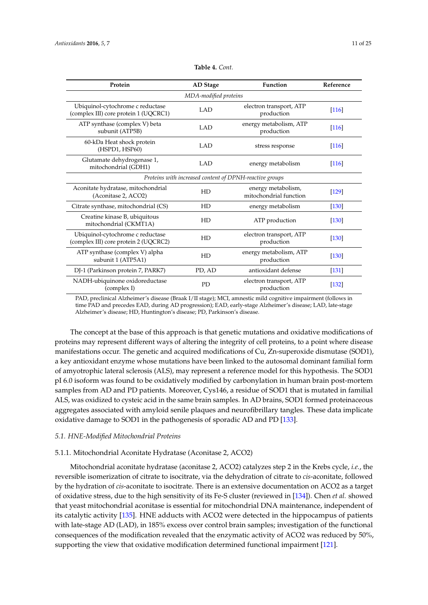<span id="page-10-0"></span>

| Protein                                                                   | <b>AD</b> Stage | Function                                     | Reference |
|---------------------------------------------------------------------------|-----------------|----------------------------------------------|-----------|
| MDA-modified proteins                                                     |                 |                                              |           |
| Ubiquinol-cytochrome c reductase<br>(complex III) core protein 1 (UQCRC1) | <b>LAD</b>      | electron transport, ATP<br>production        | [116]     |
| ATP synthase (complex V) beta<br>subunit (ATP5B)                          | <b>LAD</b>      | energy metabolism, ATP<br>production         | [116]     |
| 60-kDa Heat shock protein<br>(HSPD1, HSP60)                               | <b>LAD</b>      | stress response                              | [116]     |
| Glutamate dehydrogenase 1,<br>mitochondrial (GDH1)                        | <b>LAD</b>      | energy metabolism                            | [116]     |
| Proteins with increased content of DPNH-reactive groups                   |                 |                                              |           |
| Aconitate hydratase, mitochondrial<br>(Aconitase 2, ACO2)                 | HD              | energy metabolism,<br>mitochondrial function | $[129]$   |
| Citrate synthase, mitochondrial (CS)                                      | HD              | energy metabolism                            | $[130]$   |
| Creatine kinase B, ubiquitous<br>mitochondrial (CKMT1A)                   | HD              | ATP production                               | $[130]$   |
| Ubiquinol-cytochrome c reductase<br>(complex III) core protein 2 (UQCRC2) | HD              | electron transport, ATP<br>production        | $[130]$   |
| ATP synthase (complex V) alpha<br>subunit 1 (ATP5A1)                      | HD              | energy metabolism, ATP<br>production         | $[130]$   |
| DJ-1 (Parkinson protein 7, PARK7)                                         | PD, AD          | antioxidant defense                          | $[131]$   |
| NADH-ubiquinone oxidoreductase<br>(complex I)                             | <b>PD</b>       | electron transport, ATP<br>production        | [132]     |

#### **Table 4.** *Cont.*

PAD, preclinical Alzheimer's disease (Braak I/II stage); MCI, amnestic mild cognitive impairment (follows in time PAD and precedes EAD, during AD progression); EAD, early-stage Alzheimer's disease; LAD, late-stage Alzheimer's disease; HD, Huntington's disease; PD, Parkinson's disease.

The concept at the base of this approach is that genetic mutations and oxidative modifications of proteins may represent different ways of altering the integrity of cell proteins, to a point where disease manifestations occur. The genetic and acquired modifications of Cu, Zn-superoxide dismutase (SOD1), a key antioxidant enzyme whose mutations have been linked to the autosomal dominant familial form of amyotrophic lateral sclerosis (ALS), may represent a reference model for this hypothesis. The SOD1 pI 6.0 isoform was found to be oxidatively modified by carbonylation in human brain post-mortem samples from AD and PD patients. Moreover, Cys146, a residue of SOD1 that is mutated in familial ALS, was oxidized to cysteic acid in the same brain samples. In AD brains, SOD1 formed proteinaceous aggregates associated with amyloid senile plaques and neurofibrillary tangles. These data implicate oxidative damage to SOD1 in the pathogenesis of sporadic AD and PD [\[133\]](#page-23-5).

# *5.1. HNE-Modified Mitochondrial Proteins*

# 5.1.1. Mitochondrial Aconitate Hydratase (Aconitase 2, ACO2)

Mitochondrial aconitate hydratase (aconitase 2, ACO2) catalyzes step 2 in the Krebs cycle, *i.e.*, the reversible isomerization of citrate to isocitrate, via the dehydration of citrate to *cis*-aconitate, followed by the hydration of *cis*-aconitate to isocitrate. There is an extensive documentation on ACO2 as a target of oxidative stress, due to the high sensitivity of its Fe-S cluster (reviewed in [\[134\]](#page-23-6)). Chen *et al.* showed that yeast mitochondrial aconitase is essential for mitochondrial DNA maintenance, independent of its catalytic activity [\[135\]](#page-23-7). HNE adducts with ACO2 were detected in the hippocampus of patients with late-stage AD (LAD), in 185% excess over control brain samples; investigation of the functional consequences of the modification revealed that the enzymatic activity of ACO2 was reduced by 50%, supporting the view that oxidative modification determined functional impairment [\[121\]](#page-22-9).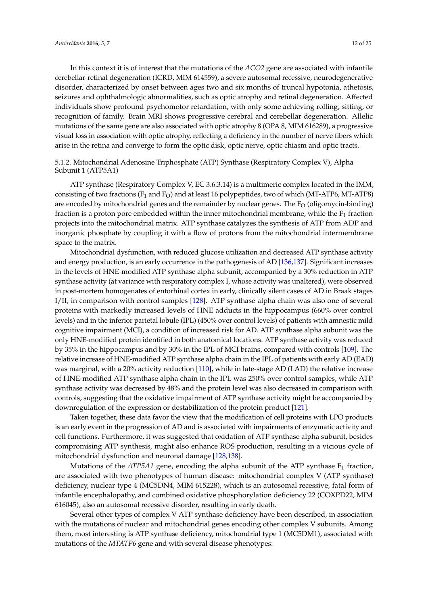In this context it is of interest that the mutations of the *ACO2* gene are associated with infantile cerebellar-retinal degeneration (ICRD, MIM 614559), a severe autosomal recessive, neurodegenerative disorder, characterized by onset between ages two and six months of truncal hypotonia, athetosis, seizures and ophthalmologic abnormalities, such as optic atrophy and retinal degeneration. Affected individuals show profound psychomotor retardation, with only some achieving rolling, sitting, or recognition of family. Brain MRI shows progressive cerebral and cerebellar degeneration. Allelic mutations of the same gene are also associated with optic atrophy 8 (OPA 8, MIM 616289), a progressive visual loss in association with optic atrophy, reflecting a deficiency in the number of nerve fibers which arise in the retina and converge to form the optic disk, optic nerve, optic chiasm and optic tracts.

# 5.1.2. Mitochondrial Adenosine Triphosphate (ATP) Synthase (Respiratory Complex V), Alpha Subunit 1 (ATP5A1)

ATP synthase (Respiratory Complex V, EC 3.6.3.14) is a multimeric complex located in the IMM, consisting of two fractions  $(F_1 \text{ and } F_0)$  and at least 16 polypeptides, two of which (MT-ATP6, MT-ATP8) are encoded by mitochondrial genes and the remainder by nuclear genes. The  $F<sub>O</sub>$  (oligomycin-binding) fraction is a proton pore embedded within the inner mitochondrial membrane, while the  $F_1$  fraction projects into the mitochondrial matrix. ATP synthase catalyzes the synthesis of ATP from ADP and inorganic phosphate by coupling it with a flow of protons from the mitochondrial intermembrane space to the matrix.

Mitochondrial dysfunction, with reduced glucose utilization and decreased ATP synthase activity and energy production, is an early occurrence in the pathogenesis of AD [\[136,](#page-23-8)[137\]](#page-23-9). Significant increases in the levels of HNE-modified ATP synthase alpha subunit, accompanied by a 30% reduction in ATP synthase activity (at variance with respiratory complex I, whose activity was unaltered), were observed in post-mortem homogenates of entorhinal cortex in early, clinically silent cases of AD in Braak stages I/II, in comparison with control samples [\[128\]](#page-23-0). ATP synthase alpha chain was also one of several proteins with markedly increased levels of HNE adducts in the hippocampus (660% over control levels) and in the inferior parietal lobule (IPL) (450% over control levels) of patients with amnestic mild cognitive impairment (MCI), a condition of increased risk for AD. ATP synthase alpha subunit was the only HNE-modified protein identified in both anatomical locations. ATP synthase activity was reduced by 35% in the hippocampus and by 30% in the IPL of MCI brains, compared with controls [\[109\]](#page-22-8). The relative increase of HNE-modified ATP synthase alpha chain in the IPL of patients with early AD (EAD) was marginal, with a 20% activity reduction [\[110\]](#page-22-0), while in late-stage AD (LAD) the relative increase of HNE-modified ATP synthase alpha chain in the IPL was 250% over control samples, while ATP synthase activity was decreased by 48% and the protein level was also decreased in comparison with controls, suggesting that the oxidative impairment of ATP synthase activity might be accompanied by downregulation of the expression or destabilization of the protein product [\[121\]](#page-22-9).

Taken together, these data favor the view that the modification of cell proteins with LPO products is an early event in the progression of AD and is associated with impairments of enzymatic activity and cell functions. Furthermore, it was suggested that oxidation of ATP synthase alpha subunit, besides compromising ATP synthesis, might also enhance ROS production, resulting in a vicious cycle of mitochondrial dysfunction and neuronal damage [\[128,](#page-23-0)[138\]](#page-23-10).

Mutations of the  $ATP5A1$  gene, encoding the alpha subunit of the ATP synthase  $F_1$  fraction, are associated with two phenotypes of human disease: mitochondrial complex V (ATP synthase) deficiency, nuclear type 4 (MC5DN4, MIM 615228), which is an autosomal recessive, fatal form of infantile encephalopathy, and combined oxidative phosphorylation deficiency 22 (COXPD22, MIM 616045), also an autosomal recessive disorder, resulting in early death.

Several other types of complex V ATP synthase deficiency have been described, in association with the mutations of nuclear and mitochondrial genes encoding other complex V subunits. Among them, most interesting is ATP synthase deficiency, mitochondrial type 1 (MC5DM1), associated with mutations of the *MTATP6* gene and with several disease phenotypes: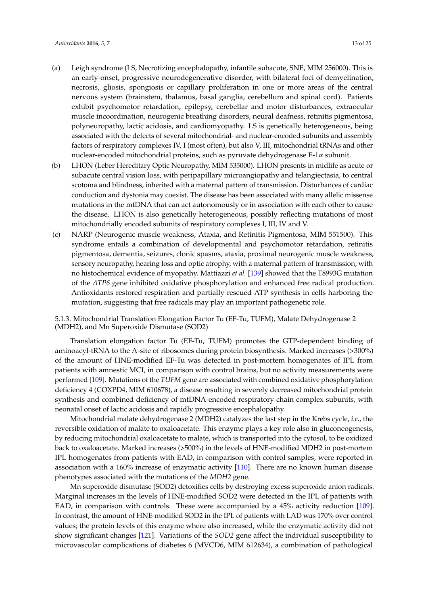- (a) Leigh syndrome (LS, Necrotizing encephalopathy, infantile subacute, SNE, MIM 256000). This is an early-onset, progressive neurodegenerative disorder, with bilateral foci of demyelination, necrosis, gliosis, spongiosis or capillary proliferation in one or more areas of the central nervous system (brainstem, thalamus, basal ganglia, cerebellum and spinal cord). Patients exhibit psychomotor retardation, epilepsy, cerebellar and motor disturbances, extraocular muscle incoordination, neurogenic breathing disorders, neural deafness, retinitis pigmentosa, polyneuropathy, lactic acidosis, and cardiomyopathy. LS is genetically heterogeneous, being associated with the defects of several mitochondrial- and nuclear-encoded subunits and assembly factors of respiratory complexes IV, I (most often), but also V, III, mitochondrial tRNAs and other nuclear-encoded mitochondrial proteins, such as pyruvate dehydrogenase E-1α subunit.
- (b) LHON (Leber Hereditary Optic Neuropathy, MIM 535000). LHON presents in midlife as acute or subacute central vision loss, with peripapillary microangiopathy and telangiectasia, to central scotoma and blindness, inherited with a maternal pattern of transmission. Disturbances of cardiac conduction and dystonia may coexist. The disease has been associated with many allelic missense mutations in the mtDNA that can act autonomously or in association with each other to cause the disease. LHON is also genetically heterogeneous, possibly reflecting mutations of most mitochondrially encoded subunits of respiratory complexes I, III, IV and V.
- (c) NARP (Neurogenic muscle weakness, Ataxia, and Retinitis Pigmentosa, MIM 551500). This syndrome entails a combination of developmental and psychomotor retardation, retinitis pigmentosa, dementia, seizures, clonic spasms, ataxia, proximal neurogenic muscle weakness, sensory neuropathy, hearing loss and optic atrophy, with a maternal pattern of transmission, with no histochemical evidence of myopathy. Mattiazzi *et al.* [\[139\]](#page-23-11) showed that the T8993G mutation of the *ATP6* gene inhibited oxidative phosphorylation and enhanced free radical production. Antioxidants restored respiration and partially rescued ATP synthesis in cells harboring the mutation, suggesting that free radicals may play an important pathogenetic role.

5.1.3. Mitochondrial Translation Elongation Factor Tu (EF-Tu, TUFM), Malate Dehydrogenase 2 (MDH2), and Mn Superoxide Dismutase (SOD2)

Translation elongation factor Tu (EF-Tu, TUFM) promotes the GTP-dependent binding of aminoacyl-tRNA to the A-site of ribosomes during protein biosynthesis. Marked increases (>300%) of the amount of HNE-modified EF-Tu was detected in post-mortem homogenates of IPL from patients with amnestic MCI, in comparison with control brains, but no activity measurements were performed [\[109\]](#page-22-8). Mutations of the *TUFM* gene are associated with combined oxidative phosphorylation deficiency 4 (COXPD4, MIM 610678), a disease resulting in severely decreased mitochondrial protein synthesis and combined deficiency of mtDNA-encoded respiratory chain complex subunits, with neonatal onset of lactic acidosis and rapidly progressive encephalopathy.

Mitochondrial malate dehydrogenase 2 (MDH2) catalyzes the last step in the Krebs cycle, *i.e.*, the reversible oxidation of malate to oxaloacetate. This enzyme plays a key role also in gluconeogenesis, by reducing mitochondrial oxaloacetate to malate, which is transported into the cytosol, to be oxidized back to oxaloacetate. Marked increases (>500%) in the levels of HNE-modified MDH2 in post-mortem IPL homogenates from patients with EAD, in comparison with control samples, were reported in association with a 160% increase of enzymatic activity [\[110\]](#page-22-0). There are no known human disease phenotypes associated with the mutations of the *MDH2* gene.

Mn superoxide dismutase (SOD2) detoxifies cells by destroying excess superoxide anion radicals. Marginal increases in the levels of HNE-modified SOD2 were detected in the IPL of patients with EAD, in comparison with controls. These were accompanied by a 45% activity reduction [\[109\]](#page-22-8). In contrast, the amount of HNE-modified SOD2 in the IPL of patients with LAD was 170% over control values; the protein levels of this enzyme where also increased, while the enzymatic activity did not show significant changes [\[121\]](#page-22-9). Variations of the *SOD2* gene affect the individual susceptibility to microvascular complications of diabetes 6 (MVCD6, MIM 612634), a combination of pathological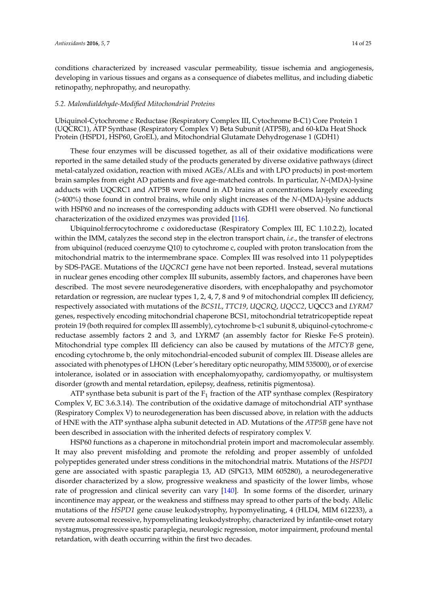conditions characterized by increased vascular permeability, tissue ischemia and angiogenesis, developing in various tissues and organs as a consequence of diabetes mellitus, and including diabetic retinopathy, nephropathy, and neuropathy.

#### *5.2. Malondialdehyde-Modified Mitochondrial Proteins*

Ubiquinol-Cytochrome c Reductase (Respiratory Complex III, Cytochrome B-C1) Core Protein 1 (UQCRC1), ATP Synthase (Respiratory Complex V) Beta Subunit (ATP5B), and 60-kDa Heat Shock Protein (HSPD1, HSP60, GroEL), and Mitochondrial Glutamate Dehydrogenase 1 (GDH1)

These four enzymes will be discussed together, as all of their oxidative modifications were reported in the same detailed study of the products generated by diverse oxidative pathways (direct metal-catalyzed oxidation, reaction with mixed AGEs/ALEs and with LPO products) in post-mortem brain samples from eight AD patients and five age-matched controls. In particular, *N*-(MDA)-lysine adducts with UQCRC1 and ATP5B were found in AD brains at concentrations largely exceeding (>400%) those found in control brains, while only slight increases of the *N*-(MDA)-lysine adducts with HSP60 and no increases of the corresponding adducts with GDH1 were observed. No functional characterization of the oxidized enzymes was provided [\[116\]](#page-22-4).

Ubiquinol:ferrocytochrome c oxidoreductase (Respiratory Complex III, EC 1.10.2.2), located within the IMM, catalyzes the second step in the electron transport chain, *i.e.*, the transfer of electrons from ubiquinol (reduced coenzyme Q10) to cytochrome c, coupled with proton translocation from the mitochondrial matrix to the intermembrane space. Complex III was resolved into 11 polypeptides by SDS-PAGE. Mutations of the *UQCRC1* gene have not been reported. Instead, several mutations in nuclear genes encoding other complex III subunits, assembly factors, and chaperones have been described. The most severe neurodegenerative disorders, with encephalopathy and psychomotor retardation or regression, are nuclear types 1, 2, 4, 7, 8 and 9 of mitochondrial complex III deficiency, respectively associated with mutations of the *BCS1L*, *TTC19*, *UQCRQ*, *UQCC2*, UQCC3 and *LYRM7* genes, respectively encoding mitochondrial chaperone BCS1, mitochondrial tetratricopeptide repeat protein 19 (both required for complex III assembly), cytochrome b-c1 subunit 8, ubiquinol-cytochrome-c reductase assembly factors 2 and 3, and LYRM7 (an assembly factor for Rieske Fe-S protein). Mitochondrial type complex III deficiency can also be caused by mutations of the *MTCYB* gene, encoding cytochrome b, the only mitochondrial-encoded subunit of complex III. Disease alleles are associated with phenotypes of LHON (Leber's hereditary optic neuropathy, MIM 535000), or of exercise intolerance, isolated or in association with encephalomyopathy, cardiomyopathy, or multisystem disorder (growth and mental retardation, epilepsy, deafness, retinitis pigmentosa).

ATP synthase beta subunit is part of the  $F_1$  fraction of the ATP synthase complex (Respiratory Complex V, EC 3.6.3.14). The contribution of the oxidative damage of mitochondrial ATP synthase (Respiratory Complex V) to neurodegeneration has been discussed above, in relation with the adducts of HNE with the ATP synthase alpha subunit detected in AD. Mutations of the *ATP5B* gene have not been described in association with the inherited defects of respiratory complex V.

HSP60 functions as a chaperone in mitochondrial protein import and macromolecular assembly. It may also prevent misfolding and promote the refolding and proper assembly of unfolded polypeptides generated under stress conditions in the mitochondrial matrix. Mutations of the *HSPD1* gene are associated with spastic paraplegia 13, AD (SPG13, MIM 605280), a neurodegenerative disorder characterized by a slow, progressive weakness and spasticity of the lower limbs, whose rate of progression and clinical severity can vary [\[140\]](#page-23-12). In some forms of the disorder, urinary incontinence may appear, or the weakness and stiffness may spread to other parts of the body. Allelic mutations of the *HSPD1* gene cause leukodystrophy, hypomyelinating, 4 (HLD4, MIM 612233), a severe autosomal recessive, hypomyelinating leukodystrophy, characterized by infantile-onset rotary nystagmus, progressive spastic paraplegia, neurologic regression, motor impairment, profound mental retardation, with death occurring within the first two decades.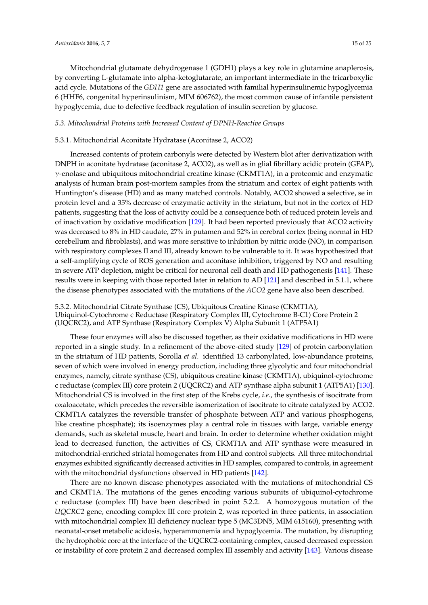Mitochondrial glutamate dehydrogenase 1 (GDH1) plays a key role in glutamine anaplerosis, by converting L-glutamate into alpha-ketoglutarate, an important intermediate in the tricarboxylic acid cycle. Mutations of the *GDH1* gene are associated with familial hyperinsulinemic hypoglycemia 6 (HHF6, congenital hyperinsulinism, MIM 606762), the most common cause of infantile persistent hypoglycemia, due to defective feedback regulation of insulin secretion by glucose.

## *5.3. Mitochondrial Proteins with Increased Content of DPNH-Reactive Groups*

#### 5.3.1. Mitochondrial Aconitate Hydratase (Aconitase 2, ACO2)

Increased contents of protein carbonyls were detected by Western blot after derivatization with DNPH in aconitate hydratase (aconitase 2, ACO2), as well as in glial fibrillary acidic protein (GFAP),  $\gamma$ -enolase and ubiquitous mitochondrial creatine kinase (CKMT1A), in a proteomic and enzymatic analysis of human brain post-mortem samples from the striatum and cortex of eight patients with Huntington's disease (HD) and as many matched controls. Notably, ACO2 showed a selective, se in protein level and a 35% decrease of enzymatic activity in the striatum, but not in the cortex of HD patients, suggesting that the loss of activity could be a consequence both of reduced protein levels and of inactivation by oxidative modification [\[129\]](#page-23-1). It had been reported previously that ACO2 activity was decreased to 8% in HD caudate, 27% in putamen and 52% in cerebral cortex (being normal in HD cerebellum and fibroblasts), and was more sensitive to inhibition by nitric oxide (NO), in comparison with respiratory complexes II and III, already known to be vulnerable to it. It was hypothesized that a self-amplifying cycle of ROS generation and aconitase inhibition, triggered by NO and resulting in severe ATP depletion, might be critical for neuronal cell death and HD pathogenesis [\[141\]](#page-23-13). These results were in keeping with those reported later in relation to AD [\[121\]](#page-22-9) and described in 5.1.1, where the disease phenotypes associated with the mutations of the *ACO2* gene have also been described.

5.3.2. Mitochondrial Citrate Synthase (CS), Ubiquitous Creatine Kinase (CKMT1A), Ubiquinol-Cytochrome c Reductase (Respiratory Complex III, Cytochrome B-C1) Core Protein 2 (UQCRC2), and ATP Synthase (Respiratory Complex V) Alpha Subunit 1 (ATP5A1)

These four enzymes will also be discussed together, as their oxidative modifications in HD were reported in a single study. In a refinement of the above-cited study [\[129\]](#page-23-1) of protein carbonylation in the striatum of HD patients, Sorolla *et al.* identified 13 carbonylated, low-abundance proteins, seven of which were involved in energy production, including three glycolytic and four mitochondrial enzymes, namely, citrate synthase (CS), ubiquitous creatine kinase (CKMT1A), ubiquinol-cytochrome c reductase (complex III) core protein 2 (UQCRC2) and ATP synthase alpha subunit 1 (ATP5A1) [\[130\]](#page-23-2). Mitochondrial CS is involved in the first step of the Krebs cycle, *i.e.*, the synthesis of isocitrate from oxaloacetate, which precedes the reversible isomerization of isocitrate to citrate catalyzed by ACO2. CKMT1A catalyzes the reversible transfer of phosphate between ATP and various phosphogens, like creatine phosphate); its isoenzymes play a central role in tissues with large, variable energy demands, such as skeletal muscle, heart and brain. In order to determine whether oxidation might lead to decreased function, the activities of CS, CKMT1A and ATP synthase were measured in mitochondrial-enriched striatal homogenates from HD and control subjects. All three mitochondrial enzymes exhibited significantly decreased activities in HD samples, compared to controls, in agreement with the mitochondrial dysfunctions observed in HD patients [\[142\]](#page-23-14).

There are no known disease phenotypes associated with the mutations of mitochondrial CS and CKMT1A. The mutations of the genes encoding various subunits of ubiquinol-cytochrome c reductase (complex III) have been described in point 5.2.2. A homozygous mutation of the *UQCRC2* gene, encoding complex III core protein 2, was reported in three patients, in association with mitochondrial complex III deficiency nuclear type 5 (MC3DN5, MIM 615160), presenting with neonatal-onset metabolic acidosis, hyperammonemia and hypoglycemia. The mutation, by disrupting the hydrophobic core at the interface of the UQCRC2-containing complex, caused decreased expression or instability of core protein 2 and decreased complex III assembly and activity [\[143\]](#page-23-15). Various disease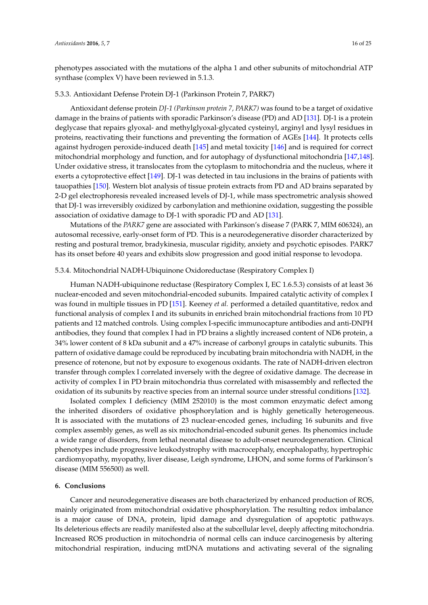phenotypes associated with the mutations of the alpha 1 and other subunits of mitochondrial ATP synthase (complex V) have been reviewed in 5.1.3.

#### 5.3.3. Antioxidant Defense Protein DJ-1 (Parkinson Protein 7, PARK7)

Antioxidant defense protein *DJ-1 (Parkinson protein 7, PARK7)* was found to be a target of oxidative damage in the brains of patients with sporadic Parkinson's disease (PD) and AD [\[131\]](#page-23-3). DJ-1 is a protein deglycase that repairs glyoxal- and methylglyoxal-glycated cysteinyl, arginyl and lysyl residues in proteins, reactivating their functions and preventing the formation of AGEs [\[144\]](#page-23-16). It protects cells against hydrogen peroxide-induced death [\[145\]](#page-23-17) and metal toxicity [\[146\]](#page-24-0) and is required for correct mitochondrial morphology and function, and for autophagy of dysfunctional mitochondria [\[147](#page-24-1)[,148\]](#page-24-2). Under oxidative stress, it translocates from the cytoplasm to mitochondria and the nucleus, where it exerts a cytoprotective effect [\[149\]](#page-24-3). DJ-1 was detected in tau inclusions in the brains of patients with tauopathies [\[150\]](#page-24-4). Western blot analysis of tissue protein extracts from PD and AD brains separated by 2-D gel electrophoresis revealed increased levels of DJ-1, while mass spectrometric analysis showed that DJ-1 was irreversibly oxidized by carbonylation and methionine oxidation, suggesting the possible association of oxidative damage to DJ-1 with sporadic PD and AD [\[131\]](#page-23-3).

Mutations of the *PARK7* gene are associated with Parkinson's disease 7 (PARK 7, MIM 606324), an autosomal recessive, early-onset form of PD. This is a neurodegenerative disorder characterized by resting and postural tremor, bradykinesia, muscular rigidity, anxiety and psychotic episodes. PARK7 has its onset before 40 years and exhibits slow progression and good initial response to levodopa.

## 5.3.4. Mitochondrial NADH-Ubiquinone Oxidoreductase (Respiratory Complex I)

Human NADH-ubiquinone reductase (Respiratory Complex I, EC 1.6.5.3) consists of at least 36 nuclear-encoded and seven mitochondrial-encoded subunits. Impaired catalytic activity of complex I was found in multiple tissues in PD [\[151\]](#page-24-5). Keeney *et al.* performed a detailed quantitative, redox and functional analysis of complex I and its subunits in enriched brain mitochondrial fractions from 10 PD patients and 12 matched controls. Using complex I-specific immunocapture antibodies and anti-DNPH antibodies, they found that complex I had in PD brains a slightly increased content of ND6 protein, a 34% lower content of 8 kDa subunit and a 47% increase of carbonyl groups in catalytic subunits. This pattern of oxidative damage could be reproduced by incubating brain mitochondria with NADH, in the presence of rotenone, but not by exposure to exogenous oxidants. The rate of NADH-driven electron transfer through complex I correlated inversely with the degree of oxidative damage. The decrease in activity of complex I in PD brain mitochondria thus correlated with misassembly and reflected the oxidation of its subunits by reactive species from an internal source under stressful conditions [\[132\]](#page-23-4).

Isolated complex I deficiency (MIM 252010) is the most common enzymatic defect among the inherited disorders of oxidative phosphorylation and is highly genetically heterogeneous. It is associated with the mutations of 23 nuclear-encoded genes, including 16 subunits and five complex assembly genes, as well as six mitochondrial-encoded subunit genes. Its phenomics include a wide range of disorders, from lethal neonatal disease to adult-onset neurodegeneration. Clinical phenotypes include progressive leukodystrophy with macrocephaly, encephalopathy, hypertrophic cardiomyopathy, myopathy, liver disease, Leigh syndrome, LHON, and some forms of Parkinson's disease (MIM 556500) as well.

## **6. Conclusions**

Cancer and neurodegenerative diseases are both characterized by enhanced production of ROS, mainly originated from mitochondrial oxidative phosphorylation. The resulting redox imbalance is a major cause of DNA, protein, lipid damage and dysregulation of apoptotic pathways. Its deleterious effects are readily manifested also at the subcellular level, deeply affecting mitochondria. Increased ROS production in mitochondria of normal cells can induce carcinogenesis by altering mitochondrial respiration, inducing mtDNA mutations and activating several of the signaling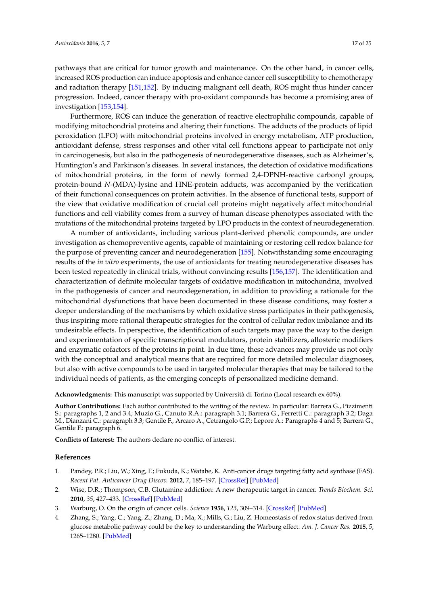pathways that are critical for tumor growth and maintenance. On the other hand, in cancer cells, increased ROS production can induce apoptosis and enhance cancer cell susceptibility to chemotherapy and radiation therapy [\[151,](#page-24-5)[152\]](#page-24-6). By inducing malignant cell death, ROS might thus hinder cancer progression. Indeed, cancer therapy with pro-oxidant compounds has become a promising area of investigation [\[153,](#page-24-7)[154\]](#page-24-8).

Furthermore, ROS can induce the generation of reactive electrophilic compounds, capable of modifying mitochondrial proteins and altering their functions. The adducts of the products of lipid peroxidation (LPO) with mitochondrial proteins involved in energy metabolism, ATP production, antioxidant defense, stress responses and other vital cell functions appear to participate not only in carcinogenesis, but also in the pathogenesis of neurodegenerative diseases, such as Alzheimer's, Huntington's and Parkinson's diseases. In several instances, the detection of oxidative modifications of mitochondrial proteins, in the form of newly formed 2,4-DPNH-reactive carbonyl groups, protein-bound *N*-(MDA)-lysine and HNE-protein adducts, was accompanied by the verification of their functional consequences on protein activities. In the absence of functional tests, support of the view that oxidative modification of crucial cell proteins might negatively affect mitochondrial functions and cell viability comes from a survey of human disease phenotypes associated with the mutations of the mitochondrial proteins targeted by LPO products in the context of neurodegeneration.

A number of antioxidants, including various plant-derived phenolic compounds, are under investigation as chemopreventive agents, capable of maintaining or restoring cell redox balance for the purpose of preventing cancer and neurodegeneration [\[155\]](#page-24-9). Notwithstanding some encouraging results of the *in vitro* experiments, the use of antioxidants for treating neurodegenerative diseases has been tested repeatedly in clinical trials, without convincing results [\[156,](#page-24-10)[157\]](#page-24-11). The identification and characterization of definite molecular targets of oxidative modification in mitochondria, involved in the pathogenesis of cancer and neurodegeneration, in addition to providing a rationale for the mitochondrial dysfunctions that have been documented in these disease conditions, may foster a deeper understanding of the mechanisms by which oxidative stress participates in their pathogenesis, thus inspiring more rational therapeutic strategies for the control of cellular redox imbalance and its undesirable effects. In perspective, the identification of such targets may pave the way to the design and experimentation of specific transcriptional modulators, protein stabilizers, allosteric modifiers and enzymatic cofactors of the proteins in point. In due time, these advances may provide us not only with the conceptual and analytical means that are required for more detailed molecular diagnoses, but also with active compounds to be used in targeted molecular therapies that may be tailored to the individual needs of patients, as the emerging concepts of personalized medicine demand.

**Acknowledgments:** This manuscript was supported by Università di Torino (Local research ex 60%).

**Author Contributions:** Each author contributed to the writing of the review. In particular: Barrera G., Pizzimenti S.: paragraphs 1, 2 and 3.4; Muzio G., Canuto R.A.: paragraph 3.1; Barrera G., Ferretti C.: paragraph 3.2; Daga M., Dianzani C.: paragraph 3.3; Gentile F., Arcaro A., Cetrangolo G.P.; Lepore A.: Paragraphs 4 and 5; Barrera G., Gentile F.: paragraph 6.

**Conflicts of Interest:** The authors declare no conflict of interest.

#### **References**

- <span id="page-16-0"></span>1. Pandey, P.R.; Liu, W.; Xing, F.; Fukuda, K.; Watabe, K. Anti-cancer drugs targeting fatty acid synthase (FAS). *Recent Pat. Anticancer Drug Discov.* **2012**, *7*, 185–197. [\[CrossRef\]](http://dx.doi.org/10.2174/157489212799972891) [\[PubMed\]](http://www.ncbi.nlm.nih.gov/pubmed/22338595)
- <span id="page-16-1"></span>2. Wise, D.R.; Thompson, C.B. Glutamine addiction: A new therapeutic target in cancer. *Trends Biochem. Sci.* **2010**, *35*, 427–433. [\[CrossRef\]](http://dx.doi.org/10.1016/j.tibs.2010.05.003) [\[PubMed\]](http://www.ncbi.nlm.nih.gov/pubmed/20570523)
- <span id="page-16-2"></span>3. Warburg, O. On the origin of cancer cells. *Science* **1956**, *123*, 309–314. [\[CrossRef\]](http://dx.doi.org/10.1126/science.123.3191.309) [\[PubMed\]](http://www.ncbi.nlm.nih.gov/pubmed/13298683)
- <span id="page-16-3"></span>4. Zhang, S.; Yang, C.; Yang, Z.; Zhang, D.; Ma, X.; Mills, G.; Liu, Z. Homeostasis of redox status derived from glucose metabolic pathway could be the key to understanding the Warburg effect. *Am. J. Cancer Res.* **2015**, *5*, 1265–1280. [\[PubMed\]](http://www.ncbi.nlm.nih.gov/pubmed/26101696)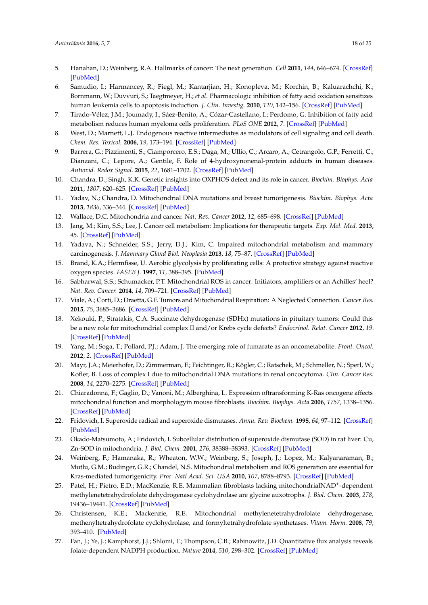- <span id="page-17-0"></span>5. Hanahan, D.; Weinberg, R.A. Hallmarks of cancer: The next generation. *Cell* **2011**, *144*, 646–674. [\[CrossRef\]](http://dx.doi.org/10.1016/j.cell.2011.02.013) [\[PubMed\]](http://www.ncbi.nlm.nih.gov/pubmed/21376230)
- <span id="page-17-1"></span>6. Samudio, I.; Harmancey, R.; Fiegl, M.; Kantarjian, H.; Konopleva, M.; Korchin, B.; Kaluarachchi, K.; Bornmann, W.; Duvvuri, S.; Taegtmeyer, H.; *et al*. Pharmacologic inhibition of fatty acid oxidation sensitizes human leukemia cells to apoptosis induction. *J. Clin. Investig.* **2010**, *120*, 142–156. [\[CrossRef\]](http://dx.doi.org/10.1172/JCI38942) [\[PubMed\]](http://www.ncbi.nlm.nih.gov/pubmed/20038799)
- <span id="page-17-2"></span>7. Tirado-Vélez, J.M.; Joumady, I.; Sáez-Benito, A.; Cózar-Castellano, I.; Perdomo, G. Inhibition of fatty acid metabolism reduces human myeloma cells proliferation. *PLoS ONE* **2012**, *7*. [\[CrossRef\]](http://dx.doi.org/10.1371/journal.pone.0046484) [\[PubMed\]](http://www.ncbi.nlm.nih.gov/pubmed/23029529)
- <span id="page-17-3"></span>8. West, D.; Marnett, L.J. Endogenous reactive intermediates as modulators of cell signaling and cell death. *Chem. Res. Toxicol.* **2006**, *19*, 173–194. [\[CrossRef\]](http://dx.doi.org/10.1021/tx050321u) [\[PubMed\]](http://www.ncbi.nlm.nih.gov/pubmed/16485894)
- <span id="page-17-4"></span>9. Barrera, G.; Pizzimenti, S.; Ciamporcero, E.S.; Daga, M.; Ullio, C.; Arcaro, A.; Cetrangolo, G.P.; Ferretti, C.; Dianzani, C.; Lepore, A.; Gentile, F. Role of 4-hydroxynonenal-protein adducts in human diseases. *Antioxid. Redox Signal.* **2015**, *22*, 1681–1702. [\[CrossRef\]](http://dx.doi.org/10.1089/ars.2014.6166) [\[PubMed\]](http://www.ncbi.nlm.nih.gov/pubmed/25365742)
- <span id="page-17-5"></span>10. Chandra, D.; Singh, K.K. Genetic insights into OXPHOS defect and its role in cancer. *Biochim. Biophys. Acta* **2011**, *1807*, 620–625. [\[CrossRef\]](http://dx.doi.org/10.1016/j.bbabio.2010.10.023) [\[PubMed\]](http://www.ncbi.nlm.nih.gov/pubmed/21074512)
- 11. Yadav, N.; Chandra, D. Mitochondrial DNA mutations and breast tumorigenesis. *Biochim. Biophys. Acta* **2013**, *1836*, 336–344. [\[CrossRef\]](http://dx.doi.org/10.1016/j.bbcan.2013.10.002) [\[PubMed\]](http://www.ncbi.nlm.nih.gov/pubmed/24140413)
- <span id="page-17-6"></span>12. Wallace, D.C. Mitochondria and cancer. *Nat. Rev. Cancer* **2012**, *12*, 685–698. [\[CrossRef\]](http://dx.doi.org/10.1038/nrc3365) [\[PubMed\]](http://www.ncbi.nlm.nih.gov/pubmed/23001348)
- <span id="page-17-7"></span>13. Jang, M.; Kim, S.S.; Lee, J. Cancer cell metabolism: Implications for therapeutic targets. *Exp. Mol. Med.* **2013**, *45*. [\[CrossRef\]](http://dx.doi.org/10.1038/emm.2013.85) [\[PubMed\]](http://www.ncbi.nlm.nih.gov/pubmed/24091747)
- <span id="page-17-8"></span>14. Yadava, N.; Schneider, S.S.; Jerry, D.J.; Kim, C. Impaired mitochondrial metabolism and mammary carcinogenesis. *J. Mammary Gland Biol. Neoplasia* **2013**, *18*, 75–87. [\[CrossRef\]](http://dx.doi.org/10.1007/s10911-012-9271-3) [\[PubMed\]](http://www.ncbi.nlm.nih.gov/pubmed/23269521)
- <span id="page-17-9"></span>15. Brand, K.A.; Hermfisse, U. Aerobic glycolysis by proliferating cells: A protective strategy against reactive oxygen species. *FASEB J.* **1997**, *11*, 388–395. [\[PubMed\]](http://www.ncbi.nlm.nih.gov/pubmed/9141507)
- <span id="page-17-10"></span>16. Sabharwal, S.S.; Schumacker, P.T. Mitochondrial ROS in cancer: Initiators, amplifiers or an Achilles' heel? *Nat. Rev. Cancer.* **2014**, *14*, 709–721. [\[CrossRef\]](http://dx.doi.org/10.1038/nrc3803) [\[PubMed\]](http://www.ncbi.nlm.nih.gov/pubmed/25342630)
- <span id="page-17-11"></span>17. Viale, A.; Corti, D.; Draetta, G.F. Tumors and Mitochondrial Respiration: A Neglected Connection. *Cancer Res.* **2015**, *75*, 3685–3686. [\[CrossRef\]](http://dx.doi.org/10.1158/0008-5472.CAN-15-0491) [\[PubMed\]](http://www.ncbi.nlm.nih.gov/pubmed/26374463)
- <span id="page-17-12"></span>18. Xekouki, P.; Stratakis, C.A. Succinate dehydrogenase (SDHx) mutations in pituitary tumors: Could this be a new role for mitochondrial complex II and/or Krebs cycle defects? *Endocrinol. Relat. Cancer* **2012**, *19*. [\[CrossRef\]](http://dx.doi.org/10.1530/ERC-12-0118) [\[PubMed\]](http://www.ncbi.nlm.nih.gov/pubmed/22889736)
- <span id="page-17-13"></span>19. Yang, M.; Soga, T.; Pollard, P.J.; Adam, J. The emerging role of fumarate as an oncometabolite. *Front. Oncol.* **2012**, *2*. [\[CrossRef\]](http://dx.doi.org/10.3389/fonc.2012.00085) [\[PubMed\]](http://www.ncbi.nlm.nih.gov/pubmed/22866264)
- <span id="page-17-14"></span>20. Mayr, J.A.; Meierhofer, D.; Zimmerman, F.; Feichtinger, R.; Kögler, C.; Ratschek, M.; Schmeller, N.; Sperl, W.; Kofler, B. Loss of complex I due to mitochondrial DNA mutations in renal oncocytoma. *Clin. Cancer Res.* **2008**, *14*, 2270–2275. [\[CrossRef\]](http://dx.doi.org/10.1158/1078-0432.CCR-07-4131) [\[PubMed\]](http://www.ncbi.nlm.nih.gov/pubmed/18413815)
- <span id="page-17-15"></span>21. Chiaradonna, F.; Gaglio, D.; Vanoni, M.; Alberghina, L. Expression oftransforming K-Ras oncogene affects mitochondrial function and morphologyin mouse fibroblasts. *Biochim. Biophys. Acta* **2006**, *1757*, 1338–1356. [\[CrossRef\]](http://dx.doi.org/10.1016/j.bbabio.2006.08.001) [\[PubMed\]](http://www.ncbi.nlm.nih.gov/pubmed/16987493)
- <span id="page-17-16"></span>22. Fridovich, I. Superoxide radical and superoxide dismutases. *Annu. Rev. Biochem.* **1995**, *64*, 97–112. [\[CrossRef\]](http://dx.doi.org/10.1146/annurev.bi.64.070195.000525) [\[PubMed\]](http://www.ncbi.nlm.nih.gov/pubmed/7574505)
- <span id="page-17-17"></span>23. Okado-Matsumoto, A.; Fridovich, I. Subcellular distribution of superoxide dismutase (SOD) in rat liver: Cu, Zn-SOD in mitochondria. *J. Biol. Chem.* **2001**, *276*, 38388–38393. [\[CrossRef\]](http://dx.doi.org/10.1074/jbc.M105395200) [\[PubMed\]](http://www.ncbi.nlm.nih.gov/pubmed/11507097)
- <span id="page-17-18"></span>24. Weinberg, F.; Hamanaka, R.; Wheaton, W.W.; Weinberg, S.; Joseph, J.; Lopez, M.; Kalyanaraman, B.; Mutlu, G.M.; Budinger, G.R.; Chandel, N.S. Mitochondrial metabolism and ROS generation are essential for Kras-mediated tumorigenicity. *Proc. Natl Acad. Sci. USA* **2010**, *107*, 8788–8793. [\[CrossRef\]](http://dx.doi.org/10.1073/pnas.1003428107) [\[PubMed\]](http://www.ncbi.nlm.nih.gov/pubmed/20421486)
- <span id="page-17-19"></span>25. Patel, H.; Pietro, E.D.; MacKenzie, R.E. Mammalian fibroblasts lacking mitochondrialNAD<sup>+</sup>-dependent methylenetetrahydrofolate dehydrogenase cyclohydrolase are glycine auxotrophs. *J. Biol. Chem.* **2003**, *278*, 19436–19441. [\[CrossRef\]](http://dx.doi.org/10.1074/jbc.M301718200) [\[PubMed\]](http://www.ncbi.nlm.nih.gov/pubmed/12646567)
- <span id="page-17-20"></span>26. Christensen, K.E.; Mackenzie, R.E. Mitochondrial methylenetetrahydrofolate dehydrogenase, methenyltetrahydrofolate cyclohydrolase, and formyltetrahydrofolate synthetases. *Vitam. Horm.* **2008**, *79*, 393–410. [\[PubMed\]](http://www.ncbi.nlm.nih.gov/pubmed/18804703)
- <span id="page-17-21"></span>27. Fan, J.; Ye, J.; Kamphorst, J.J.; Shlomi, T.; Thompson, C.B.; Rabinowitz, J.D. Quantitative flux analysis reveals folate-dependent NADPH production. *Nature* **2014**, *510*, 298–302. [\[CrossRef\]](http://dx.doi.org/10.1038/nature13236) [\[PubMed\]](http://www.ncbi.nlm.nih.gov/pubmed/24805240)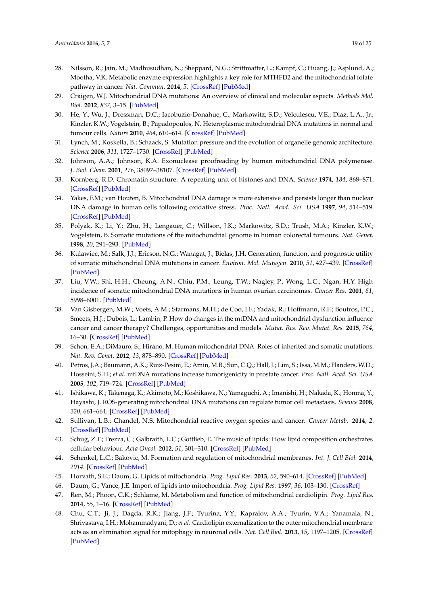- <span id="page-18-0"></span>28. Nilsson, R.; Jain, M.; Madhusudhan, N.; Sheppard, N.G.; Strittmatter, L.; Kampf, C.; Huang, J.; Asplund, A.; Mootha, V.K. Metabolic enzyme expression highlights a key role for MTHFD2 and the mitochondrial folate pathway in cancer. *Nat. Commun.* **2014**, *5*. [\[CrossRef\]](http://dx.doi.org/10.1038/ncomms4128) [\[PubMed\]](http://www.ncbi.nlm.nih.gov/pubmed/24451681)
- <span id="page-18-1"></span>29. Craigen, W.J. Mitochondrial DNA mutations: An overview of clinical and molecular aspects. *Methods Mol. Biol.* **2012**, *837*, 3–15. [\[PubMed\]](http://www.ncbi.nlm.nih.gov/pubmed/22215537)
- <span id="page-18-2"></span>30. He, Y.; Wu, J.; Dressman, D.C.; Iacobuzio-Donahue, C.; Markowitz, S.D.; Velculescu, V.E.; Diaz, L.A., Jr.; Kinzler, K.W.; Vogelstein, B.; Papadopoulos, N. Heteroplasmic mitochondrial DNA mutations in normal and tumour cells. *Nature* **2010**, *464*, 610–614. [\[CrossRef\]](http://dx.doi.org/10.1038/nature08802) [\[PubMed\]](http://www.ncbi.nlm.nih.gov/pubmed/20200521)
- <span id="page-18-3"></span>31. Lynch, M.; Koskella, B.; Schaack, S. Mutation pressure and the evolution of organelle genomic architecture. *Science* **2006**, *311*, 1727–1730. [\[CrossRef\]](http://dx.doi.org/10.1126/science.1118884) [\[PubMed\]](http://www.ncbi.nlm.nih.gov/pubmed/16556832)
- <span id="page-18-4"></span>32. Johnson, A.A.; Johnson, K.A. Exonuclease proofreading by human mitochondrial DNA polymerase. *J. Biol. Chem.* **2001**, *276*, 38097–38107. [\[CrossRef\]](http://dx.doi.org/10.1074/jbc.M106743200) [\[PubMed\]](http://www.ncbi.nlm.nih.gov/pubmed/11526116)
- <span id="page-18-5"></span>33. Kornberg, R.D. Chromatin structure: A repeating unit of histones and DNA. *Science* **1974**, *184*, 868–871. [\[CrossRef\]](http://dx.doi.org/10.1126/science.184.4139.868) [\[PubMed\]](http://www.ncbi.nlm.nih.gov/pubmed/4825889)
- <span id="page-18-6"></span>34. Yakes, F.M.; van Houten, B. Mitochondrial DNA damage is more extensive and persists longer than nuclear DNA damage in human cells following oxidative stress. *Proc. Natl. Acad. Sci. USA* **1997**, *94*, 514–519. [\[CrossRef\]](http://dx.doi.org/10.1073/pnas.94.2.514) [\[PubMed\]](http://www.ncbi.nlm.nih.gov/pubmed/9012815)
- <span id="page-18-7"></span>35. Polyak, K.; Li, Y.; Zhu, H.; Lengauer, C.; Willson, J.K.; Markowitz, S.D.; Trush, M.A.; Kinzler, K.W.; Vogelstein, B. Somatic mutations of the mitochondrial genome in human colorectal tumours. *Nat. Genet.* **1998**, *20*, 291–293. [\[PubMed\]](http://www.ncbi.nlm.nih.gov/pubmed/9806551)
- <span id="page-18-8"></span>36. Kulawiec, M.; Salk, J.J.; Ericson, N.G.; Wanagat, J.; Bielas, J.H. Generation, function, and prognostic utility of somatic mitochondrial DNA mutations in cancer. *Environ. Mol. Mutagen.* **2010**, *51*, 427–439. [\[CrossRef\]](http://dx.doi.org/10.1002/em.20582) [\[PubMed\]](http://www.ncbi.nlm.nih.gov/pubmed/20544883)
- 37. Liu, V.W.; Shi, H.H.; Cheung, A.N.; Chiu, P.M.; Leung, T.W.; Nagley, P.; Wong, L.C.; Ngan, H.Y. High incidence of somatic mitochondrial DNA mutations in human ovarian carcinomas. *Cancer Res.* **2001**, *61*, 5998–6001. [\[PubMed\]](http://www.ncbi.nlm.nih.gov/pubmed/11507041)
- <span id="page-18-9"></span>38. Van Gisbergen, M.W.; Voets, A.M.; Starmans, M.H.; de Coo, I.F.; Yadak, R.; Hoffmann, R.F.; Boutros, P.C.; Smeets, H.J.; Dubois, L.; Lambin, P. How do changes in the mtDNA and mitochondrial dysfunction influence cancer and cancer therapy? Challenges, opportunities and models. *Mutat. Res. Rev. Mutat. Res.* **2015**, *764*, 16–30. [\[CrossRef\]](http://dx.doi.org/10.1016/j.mrrev.2015.01.001) [\[PubMed\]](http://www.ncbi.nlm.nih.gov/pubmed/26041263)
- <span id="page-18-10"></span>39. Schon, E.A.; DiMauro, S.; Hirano, M. Human mitochondrial DNA: Roles of inherited and somatic mutations. *Nat. Rev. Genet.* **2012**, *13*, 878–890. [\[CrossRef\]](http://dx.doi.org/10.1038/nrg3275) [\[PubMed\]](http://www.ncbi.nlm.nih.gov/pubmed/23154810)
- <span id="page-18-11"></span>40. Petros, J.A.; Baumann, A.K.; Ruiz-Pesini, E.; Amin, M.B.; Sun, C.Q.; Hall, J.; Lim, S.; Issa, M.M.; Flanders, W.D.; Hosseini, S.H.; *et al*. mtDNA mutations increase tumorigenicity in prostate cancer. *Proc. Natl. Acad. Sci. USA* **2005**, *102*, 719–724. [\[CrossRef\]](http://dx.doi.org/10.1073/pnas.0408894102) [\[PubMed\]](http://www.ncbi.nlm.nih.gov/pubmed/15647368)
- <span id="page-18-12"></span>41. Ishikawa, K.; Takenaga, K.; Akimoto, M.; Koshikawa, N.; Yamaguchi, A.; Imanishi, H.; Nakada, K.; Honma, Y.; Hayashi, J. ROS-generating mitochondrial DNA mutations can regulate tumor cell metastasis. *Science* **2008**, *320*, 661–664. [\[CrossRef\]](http://dx.doi.org/10.1126/science.1156906) [\[PubMed\]](http://www.ncbi.nlm.nih.gov/pubmed/18388260)
- <span id="page-18-13"></span>42. Sullivan, L.B.; Chandel, N.S. Mitochondrial reactive oxygen species and cancer. *Cancer Metab.* **2014**, *2*. [\[CrossRef\]](http://dx.doi.org/10.1186/2049-3002-2-17) [\[PubMed\]](http://www.ncbi.nlm.nih.gov/pubmed/25671107)
- <span id="page-18-14"></span>43. Schug, Z.T.; Frezza, C.; Galbraith, L.C.; Gottlieb, E. The music of lipids: How lipid composition orchestrates cellular behaviour. *Acta Oncol.* **2012**, *51*, 301–310. [\[CrossRef\]](http://dx.doi.org/10.3109/0284186X.2011.643823) [\[PubMed\]](http://www.ncbi.nlm.nih.gov/pubmed/22283492)
- <span id="page-18-15"></span>44. Schenkel, L.C.; Bakovic, M. Formation and regulation of mitochondrial membranes. *Int. J. Cell Biol.* **2014**, *2014*. [\[CrossRef\]](http://dx.doi.org/10.1155/2014/709828) [\[PubMed\]](http://www.ncbi.nlm.nih.gov/pubmed/24578708)
- <span id="page-18-16"></span>45. Horvath, S.E.; Daum, G. Lipids of mitochondria. *Prog. Lipid Res.* **2013**, *52*, 590–614. [\[CrossRef\]](http://dx.doi.org/10.1016/j.plipres.2013.07.002) [\[PubMed\]](http://www.ncbi.nlm.nih.gov/pubmed/24007978)
- <span id="page-18-17"></span>46. Daum, G.; Vance, J.E. Import of lipids into mitochondria. *Prog. Lipid Res.* **1997**, *36*, 103–130. [\[CrossRef\]](http://dx.doi.org/10.1016/S0163-7827(97)00006-4)
- <span id="page-18-18"></span>47. Ren, M.; Phoon, C.K.; Schlame, M. Metabolism and function of mitochondrial cardiolipin. *Prog. Lipid Res.* **2014**, *55*, 1–16. [\[CrossRef\]](http://dx.doi.org/10.1016/j.plipres.2014.04.001) [\[PubMed\]](http://www.ncbi.nlm.nih.gov/pubmed/24769127)
- <span id="page-18-19"></span>48. Chu, C.T.; Ji, J.; Dagda, R.K.; Jiang, J.F.; Tyurina, Y.Y.; Kapralov, A.A.; Tyurin, V.A.; Yanamala, N.; Shrivastava, I.H.; Mohammadyani, D.; *et al*. Cardiolipin externalization to the outer mitochondrial membrane acts as an elimination signal for mitophagy in neuronal cells. *Nat. Cell Biol.* **2013**, *15*, 1197–1205. [\[CrossRef\]](http://dx.doi.org/10.1038/ncb2837) [\[PubMed\]](http://www.ncbi.nlm.nih.gov/pubmed/24036476)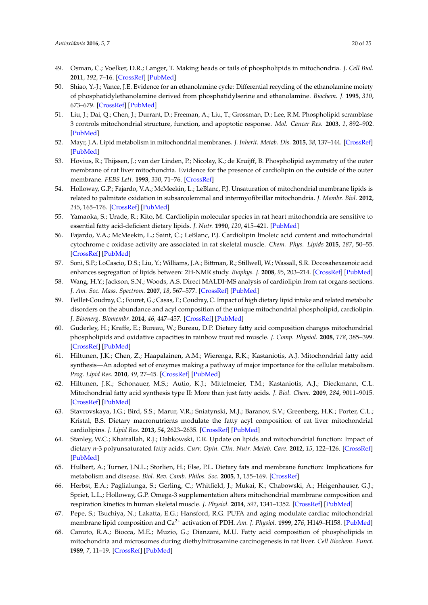- <span id="page-19-0"></span>49. Osman, C.; Voelker, D.R.; Langer, T. Making heads or tails of phospholipids in mitochondria. *J. Cell Biol.* **2011**, *192*, 7–16. [\[CrossRef\]](http://dx.doi.org/10.1083/jcb.201006159) [\[PubMed\]](http://www.ncbi.nlm.nih.gov/pubmed/21220505)
- 50. Shiao, Y.-J.; Vance, J.E. Evidence for an ethanolamine cycle: Differential recycling of the ethanolamine moiety of phosphatidylethanolamine derived from phosphatidylserine and ethanolamine. *Biochem. J.* **1995**, *310*, 673–679. [\[CrossRef\]](http://dx.doi.org/10.1042/bj3100673) [\[PubMed\]](http://www.ncbi.nlm.nih.gov/pubmed/7654210)
- 51. Liu, J.; Dai, Q.; Chen, J.; Durrant, D.; Freeman, A.; Liu, T.; Grossman, D.; Lee, R.M. Phospholipid scramblase 3 controls mitochondrial structure, function, and apoptotic response. *Mol. Cancer Res.* **2003**, *1*, 892–902. [\[PubMed\]](http://www.ncbi.nlm.nih.gov/pubmed/14573790)
- <span id="page-19-1"></span>52. Mayr, J.A. Lipid metabolism in mitochondrial membranes. *J. Inherit. Metab. Dis.* **2015**, *38*, 137–144. [\[CrossRef\]](http://dx.doi.org/10.1007/s10545-014-9748-x) [\[PubMed\]](http://www.ncbi.nlm.nih.gov/pubmed/25082432)
- <span id="page-19-2"></span>53. Hovius, R.; Thijssen, J.; van der Linden, P.; Nicolay, K.; de Kruijff, B. Phospholipid asymmetry of the outer membrane of rat liver mitochondria. Evidence for the presence of cardiolipin on the outside of the outer membrane. *FEBS Lett.* **1993**, *330*, 71–76. [\[CrossRef\]](http://dx.doi.org/10.1016/0014-5793(93)80922-H)
- <span id="page-19-3"></span>54. Holloway, G.P.; Fajardo, V.A.; McMeekin, L.; LeBlanc, P.J. Unsaturation of mitochondrial membrane lipids is related to palmitate oxidation in subsarcolemmal and intermyofibrillar mitochondria. *J. Membr. Biol.* **2012**, *245*, 165–176. [\[CrossRef\]](http://dx.doi.org/10.1007/s00232-012-9426-6) [\[PubMed\]](http://www.ncbi.nlm.nih.gov/pubmed/22527602)
- 55. Yamaoka, S.; Urade, R.; Kito, M. Cardiolipin molecular species in rat heart mitochondria are sensitive to essential fatty acid-deficient dietary lipids. *J. Nutr.* **1990**, *120*, 415–421. [\[PubMed\]](http://www.ncbi.nlm.nih.gov/pubmed/2160525)
- <span id="page-19-4"></span>56. Fajardo, V.A.; McMeekin, L.; Saint, C.; LeBlanc, P.J. Cardiolipin linoleic acid content and mitochondrial cytochrome c oxidase activity are associated in rat skeletal muscle. *Chem. Phys. Lipids* **2015**, *187*, 50–55. [\[CrossRef\]](http://dx.doi.org/10.1016/j.chemphyslip.2015.02.004) [\[PubMed\]](http://www.ncbi.nlm.nih.gov/pubmed/25727371)
- <span id="page-19-5"></span>57. Soni, S.P.; LoCascio, D.S.; Liu, Y.; Williams, J.A.; Bittman, R.; Stillwell, W.; Wassall, S.R. Docosahexaenoic acid enhances segregation of lipids between: 2H-NMR study. *Biophys. J.* **2008**, *95*, 203–214. [\[CrossRef\]](http://dx.doi.org/10.1529/biophysj.107.123612) [\[PubMed\]](http://www.ncbi.nlm.nih.gov/pubmed/18339742)
- <span id="page-19-6"></span>58. Wang, H.Y.; Jackson, S.N.; Woods, A.S. Direct MALDI-MS analysis of cardiolipin from rat organs sections. *J. Am. Soc. Mass. Spectrom.* **2007**, *18*, 567–577. [\[CrossRef\]](http://dx.doi.org/10.1016/j.jasms.2006.10.023) [\[PubMed\]](http://www.ncbi.nlm.nih.gov/pubmed/17157526)
- <span id="page-19-7"></span>59. Feillet-Coudray, C.; Fouret, G.; Casas, F.; Coudray, C. Impact of high dietary lipid intake and related metabolic disorders on the abundance and acyl composition of the unique mitochondrial phospholipid, cardiolipin. *J. Bioenerg. Biomembr.* **2014**, *46*, 447–457. [\[CrossRef\]](http://dx.doi.org/10.1007/s10863-014-9555-y) [\[PubMed\]](http://www.ncbi.nlm.nih.gov/pubmed/24951897)
- <span id="page-19-8"></span>60. Guderley, H.; Kraffe, E.; Bureau, W.; Bureau, D.P. Dietary fatty acid composition changes mitochondrial phospholipids and oxidative capacities in rainbow trout red muscle. *J. Comp. Physiol.* **2008**, *178*, 385–399. [\[CrossRef\]](http://dx.doi.org/10.1007/s00360-007-0231-y) [\[PubMed\]](http://www.ncbi.nlm.nih.gov/pubmed/18210132)
- <span id="page-19-9"></span>61. Hiltunen, J.K.; Chen, Z.; Haapalainen, A.M.; Wierenga, R.K.; Kastaniotis, A.J. Mitochondrial fatty acid synthesis—An adopted set of enzymes making a pathway of major importance for the cellular metabolism. *Prog. Lipid Res.* **2010**, *49*, 27–45. [\[CrossRef\]](http://dx.doi.org/10.1016/j.plipres.2009.08.001) [\[PubMed\]](http://www.ncbi.nlm.nih.gov/pubmed/19686777)
- <span id="page-19-10"></span>62. Hiltunen, J.K.; Schonauer, M.S.; Autio, K.J.; Mittelmeier, T.M.; Kastaniotis, A.J.; Dieckmann, C.L. Mitochondrial fatty acid synthesis type II: More than just fatty acids. *J. Biol. Chem.* **2009**, *284*, 9011–9015. [\[CrossRef\]](http://dx.doi.org/10.1074/jbc.R800068200) [\[PubMed\]](http://www.ncbi.nlm.nih.gov/pubmed/19028688)
- <span id="page-19-11"></span>63. Stavrovskaya, I.G.; Bird, S.S.; Marur, V.R.; Sniatynski, M.J.; Baranov, S.V.; Greenberg, H.K.; Porter, C.L.; Kristal, B.S. Dietary macronutrients modulate the fatty acyl composition of rat liver mitochondrial cardiolipins. *J. Lipid Res.* **2013**, *54*, 2623–2635. [\[CrossRef\]](http://dx.doi.org/10.1194/jlr.M036285) [\[PubMed\]](http://www.ncbi.nlm.nih.gov/pubmed/23690505)
- <span id="page-19-12"></span>64. Stanley, W.C.; Khairallah, R.J.; Dabkowski, E.R. Update on lipids and mitochondrial function: Impact of dietary *n*-3 polyunsaturated fatty acids. *Curr. Opin. Clin. Nutr. Metab. Care.* **2012**, *15*, 122–126. [\[CrossRef\]](http://dx.doi.org/10.1097/MCO.0b013e32834fdaf7) [\[PubMed\]](http://www.ncbi.nlm.nih.gov/pubmed/22248591)
- <span id="page-19-13"></span>65. Hulbert, A.; Turner, J.N.L.; Storlien, H.; Else, P.L. Dietary fats and membrane function: Implications for metabolism and disease. *Biol. Rev. Camb. Philos. Soc.* **2005**, *1*, 155–169. [\[CrossRef\]](http://dx.doi.org/10.1017/S1464793104006578)
- <span id="page-19-14"></span>66. Herbst, E.A.; Paglialunga, S.; Gerling, C.; Whitfield, J.; Mukai, K.; Chabowski, A.; Heigenhauser, G.J.; Spriet, L.L.; Holloway, G.P. Omega-3 supplementation alters mitochondrial membrane composition and respiration kinetics in human skeletal muscle. *J. Physiol.* **2014**, *592*, 1341–1352. [\[CrossRef\]](http://dx.doi.org/10.1113/jphysiol.2013.267336) [\[PubMed\]](http://www.ncbi.nlm.nih.gov/pubmed/24396061)
- <span id="page-19-15"></span>67. Pepe, S.; Tsuchiya, N.; Lakatta, E.G.; Hansford, R.G. PUFA and aging modulate cardiac mitochondrial membrane lipid composition and Ca2+ activation of PDH. *Am. J. Physiol.* **1999**, *276*, H149–H158. [\[PubMed\]](http://www.ncbi.nlm.nih.gov/pubmed/9887028)
- <span id="page-19-16"></span>68. Canuto, R.A.; Biocca, M.E.; Muzio, G.; Dianzani, M.U. Fatty acid composition of phospholipids in mitochondria and microsomes during diethylnitrosamine carcinogenesis in rat liver. *Cell Biochem. Funct.* **1989**, *7*, 11–19. [\[CrossRef\]](http://dx.doi.org/10.1002/cbf.290070104) [\[PubMed\]](http://www.ncbi.nlm.nih.gov/pubmed/2752533)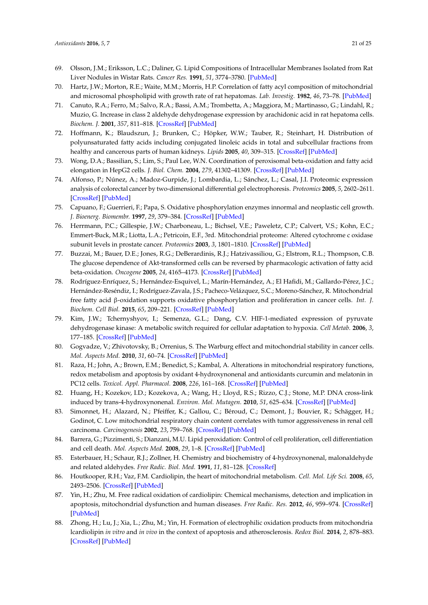- <span id="page-20-0"></span>69. Olsson, J.M.; Eriksson, L.C.; Daliner, G. Lipid Compositions of Intracellular Membranes Isolated from Rat Liver Nodules in Wistar Rats. *Cancer Res.* **1991**, *51*, 3774–3780. [\[PubMed\]](http://www.ncbi.nlm.nih.gov/pubmed/2065332)
- <span id="page-20-1"></span>70. Hartz, J.W.; Morton, R.E.; Waite, M.M.; Morris, H.P. Correlation of fatty acyl composition of mitochondrial and microsomal phospholipid with growth rate of rat hepatomas. *Lab. Investig.* **1982**, *46*, 73–78. [\[PubMed\]](http://www.ncbi.nlm.nih.gov/pubmed/7054591)
- <span id="page-20-2"></span>71. Canuto, R.A.; Ferro, M.; Salvo, R.A.; Bassi, A.M.; Trombetta, A.; Maggiora, M.; Martinasso, G.; Lindahl, R.; Muzio, G. Increase in class 2 aldehyde dehydrogenase expression by arachidonic acid in rat hepatoma cells. *Biochem. J.* **2001**, *357*, 811–818. [\[CrossRef\]](http://dx.doi.org/10.1042/bj3570811) [\[PubMed\]](http://www.ncbi.nlm.nih.gov/pubmed/11463352)
- <span id="page-20-3"></span>72. Hoffmann, K.; Blaudszun, J.; Brunken, C.; Höpker, W.W.; Tauber, R.; Steinhart, H. Distribution of polyunsaturated fatty acids including conjugated linoleic acids in total and subcellular fractions from healthy and cancerous parts of human kidneys. *Lipids* **2005**, *40*, 309–315. [\[CrossRef\]](http://dx.doi.org/10.1007/s11745-005-1387-z) [\[PubMed\]](http://www.ncbi.nlm.nih.gov/pubmed/15957258)
- <span id="page-20-4"></span>73. Wong, D.A.; Bassilian, S.; Lim, S.; Paul Lee, W.N. Coordination of peroxisomal beta-oxidation and fatty acid elongation in HepG2 cells. *J. Biol. Chem.* **2004**, *279*, 41302–41309. [\[CrossRef\]](http://dx.doi.org/10.1074/jbc.M406766200) [\[PubMed\]](http://www.ncbi.nlm.nih.gov/pubmed/15277519)
- <span id="page-20-5"></span>74. Alfonso, P.; Núnez, A.; Madoz-Gurpide, J.; Lombardia, L.; Sánchez, L.; Casal, J.I. Proteomic expression analysis of colorectal cancer by two-dimensional differential gel electrophoresis. *Proteomics* **2005**, *5*, 2602–2611. [\[CrossRef\]](http://dx.doi.org/10.1002/pmic.200401196) [\[PubMed\]](http://www.ncbi.nlm.nih.gov/pubmed/15924290)
- 75. Capuano, F.; Guerrieri, F.; Papa, S. Oxidative phosphorylation enzymes innormal and neoplastic cell growth. *J. Bioenerg. Biomembr.* **1997**, *29*, 379–384. [\[CrossRef\]](http://dx.doi.org/10.1023/A:1022402915431) [\[PubMed\]](http://www.ncbi.nlm.nih.gov/pubmed/9387098)
- <span id="page-20-6"></span>76. Herrmann, P.C.; Gillespie, J.W.; Charboneau, L.; Bichsel, V.E.; Paweletz, C.P.; Calvert, V.S.; Kohn, E.C.; Emmert-Buck, M.R.; Liotta, L.A.; Petricoin, E.F., 3rd. Mitochondrial proteome: Altered cytochrome c oxidase subunit levels in prostate cancer. *Proteomics* **2003**, *3*, 1801–1810. [\[CrossRef\]](http://dx.doi.org/10.1002/pmic.200300461) [\[PubMed\]](http://www.ncbi.nlm.nih.gov/pubmed/12973739)
- <span id="page-20-7"></span>77. Buzzai, M.; Bauer, D.E.; Jones, R.G.; DeBerardinis, R.J.; Hatzivassiliou, G.; Elstrom, R.L.; Thompson, C.B. The glucose dependence of Akt-transformed cells can be reversed by pharmacologic activation of fatty acid beta-oxidation. *Oncogene* **2005**, *24*, 4165–4173. [\[CrossRef\]](http://dx.doi.org/10.1038/sj.onc.1208622) [\[PubMed\]](http://www.ncbi.nlm.nih.gov/pubmed/15806154)
- <span id="page-20-8"></span>78. Rodríguez-Enríquez, S.; Hernández-Esquivel, L.; Marín-Hernández, A.; El Hafidi, M.; Gallardo-Pérez, J.C.; Hernández-Reséndiz, I.; Rodríguez-Zavala, J.S.; Pacheco-Velázquez, S.C.; Moreno-Sánchez, R. Mitochondrial free fatty acid β-oxidation supports oxidative phosphorylation and proliferation in cancer cells. *Int. J. Biochem. Cell Biol.* **2015**, *65*, 209–221. [\[CrossRef\]](http://dx.doi.org/10.1016/j.biocel.2015.06.010) [\[PubMed\]](http://www.ncbi.nlm.nih.gov/pubmed/26073129)
- <span id="page-20-9"></span>79. Kim, J.W.; Tchernyshyov, I.; Semenza, G.L.; Dang, C.V. HIF-1-mediated expression of pyruvate dehydrogenase kinase: A metabolic switch required for cellular adaptation to hypoxia. *Cell Metab.* **2006**, *3*, 177–185. [\[CrossRef\]](http://dx.doi.org/10.1016/j.cmet.2006.02.002) [\[PubMed\]](http://www.ncbi.nlm.nih.gov/pubmed/16517405)
- <span id="page-20-10"></span>80. Gogvadze, V.; Zhivotovsky, B.; Orrenius, S. The Warburg effect and mitochondrial stability in cancer cells. *Mol. Aspects Med.* **2010**, *31*, 60–74. [\[CrossRef\]](http://dx.doi.org/10.1016/j.mam.2009.12.004) [\[PubMed\]](http://www.ncbi.nlm.nih.gov/pubmed/19995572)
- <span id="page-20-11"></span>81. Raza, H.; John, A.; Brown, E.M.; Benedict, S.; Kambal, A. Alterations in mitochondrial respiratory functions, redox metabolism and apoptosis by oxidant 4-hydroxynonenal and antioxidants curcumin and melatonin in PC12 cells. *Toxicol. Appl. Pharmacol.* **2008**, *226*, 161–168. [\[CrossRef\]](http://dx.doi.org/10.1016/j.taap.2007.09.002) [\[PubMed\]](http://www.ncbi.nlm.nih.gov/pubmed/17935746)
- <span id="page-20-12"></span>82. Huang, H.; Kozekov, I.D.; Kozekova, A.; Wang, H.; Lloyd, R.S.; Rizzo, C.J.; Stone, M.P. DNA cross-link induced by trans-4-hydroxynonenal. *Environ. Mol. Mutagen.* **2010**, *51*, 625–634. [\[CrossRef\]](http://dx.doi.org/10.1002/em.20599) [\[PubMed\]](http://www.ncbi.nlm.nih.gov/pubmed/20577992)
- <span id="page-20-13"></span>83. Simonnet, H.; Alazard, N.; Pfeiffer, K.; Gallou, C.; Béroud, C.; Demont, J.; Bouvier, R.; Schägger, H.; Godinot, C. Low mitochondrial respiratory chain content correlates with tumor aggressiveness in renal cell carcinoma. *Carcinogenesis* **2002**, *23*, 759–768. [\[CrossRef\]](http://dx.doi.org/10.1093/carcin/23.5.759) [\[PubMed\]](http://www.ncbi.nlm.nih.gov/pubmed/12016148)
- <span id="page-20-14"></span>84. Barrera, G.; Pizzimenti, S.; Dianzani, M.U. Lipid peroxidation: Control of cell proliferation, cell differentiation and cell death. *Mol. Aspects Med.* **2008**, *29*, 1–8. [\[CrossRef\]](http://dx.doi.org/10.1016/j.mam.2007.09.012) [\[PubMed\]](http://www.ncbi.nlm.nih.gov/pubmed/18037483)
- <span id="page-20-15"></span>85. Esterbauer, H.; Schaur, R.J.; Zollner, H. Chemistry and biochemistry of 4-hydroxynonenal, malonaldehyde and related aldehydes. *Free Radic. Biol. Med.* **1991**, *11*, 81–128. [\[CrossRef\]](http://dx.doi.org/10.1016/0891-5849(91)90192-6)
- <span id="page-20-16"></span>86. Houtkooper, R.H.; Vaz, F.M. Cardiolipin, the heart of mitochondrial metabolism. *Cell. Mol. Life Sci.* **2008**, *65*, 2493–2506. [\[CrossRef\]](http://dx.doi.org/10.1007/s00018-008-8030-5) [\[PubMed\]](http://www.ncbi.nlm.nih.gov/pubmed/18425414)
- <span id="page-20-17"></span>87. Yin, H.; Zhu, M. Free radical oxidation of cardiolipin: Chemical mechanisms, detection and implication in apoptosis, mitochondrial dysfunction and human diseases. *Free Radic. Res.* **2012**, *46*, 959–974. [\[CrossRef\]](http://dx.doi.org/10.3109/10715762.2012.676642) [\[PubMed\]](http://www.ncbi.nlm.nih.gov/pubmed/22468920)
- <span id="page-20-18"></span>88. Zhong, H.; Lu, J.; Xia, L.; Zhu, M.; Yin, H. Formation of electrophilic oxidation products from mitochondria lcardiolipin *in vitro* and *in vivo* in the context of apoptosis and atherosclerosis. *Redox Biol.* **2014**, *2*, 878–883. [\[CrossRef\]](http://dx.doi.org/10.1016/j.redox.2014.04.003) [\[PubMed\]](http://www.ncbi.nlm.nih.gov/pubmed/25061570)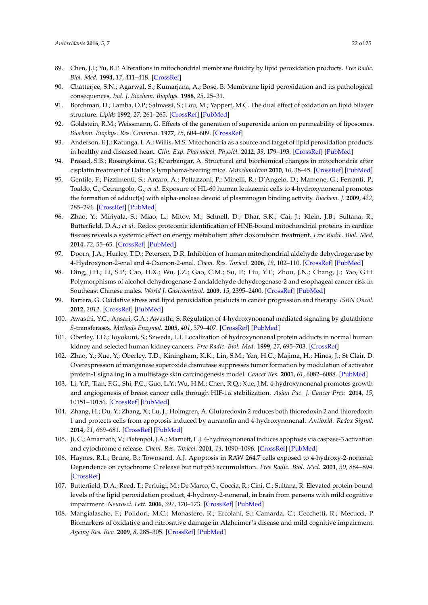- <span id="page-21-0"></span>89. Chen, J.J.; Yu, B.P. Alterations in mitochondrial membrane fluidity by lipid peroxidation products. *Free Radic. Biol. Med.* **1994**, *17*, 411–418. [\[CrossRef\]](http://dx.doi.org/10.1016/0891-5849(94)90167-8)
- <span id="page-21-1"></span>90. Chatterjee, S.N.; Agarwal, S.; Kumarjana, A.; Bose, B. Membrane lipid peroxidation and its pathological consequences. *Ind. J. Biochem. Biophys.* **1988**, *25*, 25–31.
- <span id="page-21-2"></span>91. Borchman, D.; Lamba, O.P.; Salmassi, S.; Lou, M.; Yappert, M.C. The dual effect of oxidation on lipid bilayer structure. *Lipids* **1992**, *27*, 261–265. [\[CrossRef\]](http://dx.doi.org/10.1007/BF02536472) [\[PubMed\]](http://www.ncbi.nlm.nih.gov/pubmed/1518382)
- <span id="page-21-3"></span>92. Goldstein, R.M.; Weissmann, G. Effects of the generation of superoxide anion on permeability of liposomes. *Biochem. Biophys. Res. Commun.* **1977**, *75*, 604–609. [\[CrossRef\]](http://dx.doi.org/10.1016/0006-291X(77)91515-7)
- <span id="page-21-4"></span>93. Anderson, E.J.; Katunga, L.A.; Willis, M.S. Mitochondria as a source and target of lipid peroxidation products in healthy and diseased heart. *Clin. Exp. Pharmacol. Physiol.* **2012**, *39*, 179–193. [\[CrossRef\]](http://dx.doi.org/10.1111/j.1440-1681.2011.05641.x) [\[PubMed\]](http://www.ncbi.nlm.nih.gov/pubmed/22066679)
- <span id="page-21-5"></span>94. Prasad, S.B.; Rosangkima, G.; Kharbangar, A. Structural and biochemical changes in mitochondria after cisplatin treatment of Dalton's lymphoma-bearing mice. *Mitochondrion* **2010**, *10*, 38–45. [\[CrossRef\]](http://dx.doi.org/10.1016/j.mito.2009.09.002) [\[PubMed\]](http://www.ncbi.nlm.nih.gov/pubmed/19766736)
- <span id="page-21-6"></span>95. Gentile, F.; Pizzimenti, S.; Arcaro, A.; Pettazzoni, P.; Minelli, R.; D'Angelo, D.; Mamone, G.; Ferranti, P.; Toaldo, C.; Cetrangolo, G.; *et al*. Exposure of HL-60 human leukaemic cells to 4-hydroxynonenal promotes the formation of adduct(s) with alpha-enolase devoid of plasminogen binding activity. *Biochem. J.* **2009**, *422*, 285–294. [\[CrossRef\]](http://dx.doi.org/10.1042/BJ20090564) [\[PubMed\]](http://www.ncbi.nlm.nih.gov/pubmed/19508232)
- <span id="page-21-7"></span>96. Zhao, Y.; Miriyala, S.; Miao, L.; Mitov, M.; Schnell, D.; Dhar, S.K.; Cai, J.; Klein, J.B.; Sultana, R.; Butterfield, D.A.; *et al*. Redox proteomic identification of HNE-bound mitochondrial proteins in cardiac tissues reveals a systemic effect on energy metabolism after doxorubicin treatment. *Free Radic. Biol. Med.* **2014**, *72*, 55–65. [\[CrossRef\]](http://dx.doi.org/10.1016/j.freeradbiomed.2014.03.001) [\[PubMed\]](http://www.ncbi.nlm.nih.gov/pubmed/24632380)
- <span id="page-21-8"></span>97. Doorn, J.A.; Hurley, T.D.; Petersen, D.R. Inhibition of human mitochondrial aldehyde dehydrogenase by 4-Hydroxynon-2-enal and 4-Oxonon-2-enal. *Chem. Res. Toxicol.* **2006**, *19*, 102–110. [\[CrossRef\]](http://dx.doi.org/10.1021/tx0501839) [\[PubMed\]](http://www.ncbi.nlm.nih.gov/pubmed/16411662)
- <span id="page-21-9"></span>98. Ding, J.H.; Li, S.P.; Cao, H.X.; Wu, J.Z.; Gao, C.M.; Su, P.; Liu, Y.T.; Zhou, J.N.; Chang, J.; Yao, G.H. Polymorphisms of alcohol dehydrogenase-2 andaldehyde dehydrogenase-2 and esophageal cancer risk in Southeast Chinese males. *World J. Gastroenterol.* **2009**, *15*, 2395–2400. [\[CrossRef\]](http://dx.doi.org/10.3748/wjg.15.2395) [\[PubMed\]](http://www.ncbi.nlm.nih.gov/pubmed/19452585)
- <span id="page-21-10"></span>99. Barrera, G. Oxidative stress and lipid peroxidation products in cancer progression and therapy. *ISRN Oncol.* **2012**, *2012*. [\[CrossRef\]](http://dx.doi.org/10.5402/2012/137289) [\[PubMed\]](http://www.ncbi.nlm.nih.gov/pubmed/23119185)
- <span id="page-21-11"></span>100. Awasthi, Y.C.; Ansari, G.A.; Awasthi, S. Regulation of 4-hydroxynonenal mediated signaling by glutathione *S*-transferases. *Methods Enzymol.* **2005**, *401*, 379–407. [\[CrossRef\]](http://dx.doi.org/10.1016/j.freeradbiomed.2004.05.033) [\[PubMed\]](http://www.ncbi.nlm.nih.gov/pubmed/16399399)
- <span id="page-21-12"></span>101. Oberley, T.D.; Toyokuni, S.; Szweda, L.I. Localization of hydroxynonenal protein adducts in normal human kidney and selected human kidney cancers. *Free Radic. Biol. Med.* **1999**, *27*, 695–703. [\[CrossRef\]](http://dx.doi.org/10.1016/S0891-5849(99)00117-3)
- <span id="page-21-13"></span>102. Zhao, Y.; Xue, Y.; Oberley, T.D.; Kiningham, K.K.; Lin, S.M.; Yen, H.C.; Majima, H.; Hines, J.; St Clair, D. Overexpression of manganese superoxide dismutase suppresses tumor formation by modulation of activator protein-1 signaling in a multistage skin carcinogenesis model. *Cancer Res.* **2001**, *61*, 6082–6088. [\[PubMed\]](http://www.ncbi.nlm.nih.gov/pubmed/11507057)
- <span id="page-21-14"></span>103. Li, Y.P.; Tian, F.G.; Shi, P.C.; Guo, L.Y.; Wu, H.M.; Chen, R.Q.; Xue, J.M. 4-hydroxynonenal promotes growth and angiogenesis of breast cancer cells through HIF-1α stabilization. *Asian Pac. J. Cancer Prev.* **2014**, *15*, 10151–10156. [\[CrossRef\]](http://dx.doi.org/10.7314/APJCP.2014.15.23.10151) [\[PubMed\]](http://www.ncbi.nlm.nih.gov/pubmed/25556440)
- <span id="page-21-15"></span>104. Zhang, H.; Du, Y.; Zhang, X.; Lu, J.; Holmgren, A. Glutaredoxin 2 reduces both thioredoxin 2 and thioredoxin 1 and protects cells from apoptosis induced by auranofin and 4-hydroxynonenal. *Antioxid. Redox Signal.* **2014**, *21*, 669–681. [\[CrossRef\]](http://dx.doi.org/10.1089/ars.2013.5499) [\[PubMed\]](http://www.ncbi.nlm.nih.gov/pubmed/24295294)
- <span id="page-21-16"></span>105. Ji, C.; Amarnath, V.; Pietenpol, J.A.; Marnett, L.J. 4-hydroxynonenal induces apoptosis via caspase-3 activation and cytochrome c release. *Chem. Res. Toxicol.* **2001**, *14*, 1090–1096. [\[CrossRef\]](http://dx.doi.org/10.1021/tx000186f) [\[PubMed\]](http://www.ncbi.nlm.nih.gov/pubmed/11511183)
- <span id="page-21-17"></span>106. Haynes, R.L.; Brune, B.; Townsend, A.J. Apoptosis in RAW 264.7 cells exposed to 4-hydroxy-2-nonenal: Dependence on cytochrome C release but not p53 accumulation. *Free Radic. Biol. Med.* **2001**, *30*, 884–894. [\[CrossRef\]](http://dx.doi.org/10.1016/S0891-5849(01)00476-2)
- <span id="page-21-18"></span>107. Butterfield, D.A.; Reed, T.; Perluigi, M.; De Marco, C.; Coccia, R.; Cini, C.; Sultana, R. Elevated protein-bound levels of the lipid peroxidation product, 4-hydroxy-2-nonenal, in brain from persons with mild cognitive impairment. *Neurosci. Lett.* **2006**, *397*, 170–173. [\[CrossRef\]](http://dx.doi.org/10.1016/j.neulet.2005.12.017) [\[PubMed\]](http://www.ncbi.nlm.nih.gov/pubmed/16413966)
- <span id="page-21-19"></span>108. Mangialasche, F.; Polidori, M.C.; Monastero, R.; Ercolani, S.; Camarda, C.; Cecchetti, R.; Mecucci, P. Biomarkers of oxidative and nitrosative damage in Alzheimer's disease and mild cognitive impairment. *Ageing Res. Rev.* **2009**, *8*, 285–305. [\[CrossRef\]](http://dx.doi.org/10.1016/j.arr.2009.04.002) [\[PubMed\]](http://www.ncbi.nlm.nih.gov/pubmed/19376275)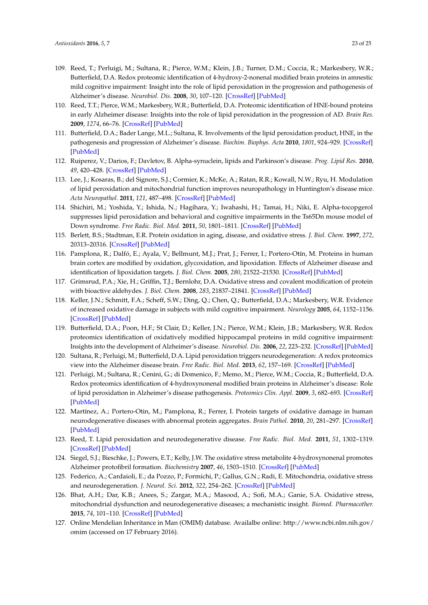- <span id="page-22-8"></span>109. Reed, T.; Perluigi, M.; Sultana, R.; Pierce, W.M.; Klein, J.B.; Turner, D.M.; Coccia, R.; Markesbery, W.R.; Butterfield, D.A. Redox proteomic identification of 4-hydroxy-2-nonenal modified brain proteins in amnestic mild cognitive impairment: Insight into the role of lipid peroxidation in the progression and pathogenesis of Alzheimer's disease. *Neurobiol. Dis.* **2008**, *30*, 107–120. [\[CrossRef\]](http://dx.doi.org/10.1016/j.nbd.2007.12.007) [\[PubMed\]](http://www.ncbi.nlm.nih.gov/pubmed/18325775)
- <span id="page-22-0"></span>110. Reed, T.T.; Pierce, W.M.; Markesbery, W.R.; Butterfield, D.A. Proteomic identification of HNE-bound proteins in early Alzheimer disease: Insights into the role of lipid peroxidation in the progression of AD. *Brain Res.* **2009**, *1274*, 66–76. [\[CrossRef\]](http://dx.doi.org/10.1016/j.brainres.2009.04.009) [\[PubMed\]](http://www.ncbi.nlm.nih.gov/pubmed/19374891)
- <span id="page-22-1"></span>111. Butterfield, D.A.; Bader Lange, M.L.; Sultana, R. Involvements of the lipid peroxidation product, HNE, in the pathogenesis and progression of Alzheimer's disease. *Biochim. Biophys. Acta* **2010**, *1801*, 924–929. [\[CrossRef\]](http://dx.doi.org/10.1016/j.bbalip.2010.02.005) [\[PubMed\]](http://www.ncbi.nlm.nih.gov/pubmed/20176130)
- 112. Ruiperez, V.; Darios, F.; Davletov, B. Alpha-synuclein, lipids and Parkinson's disease. *Prog. Lipid Res.* **2010**, *49*, 420–428. [\[CrossRef\]](http://dx.doi.org/10.1016/j.plipres.2010.05.004) [\[PubMed\]](http://www.ncbi.nlm.nih.gov/pubmed/20580911)
- 113. Lee, J.; Kosaras, B.; del Signore, S.J.; Cormier, K.; McKe, A.; Ratan, R.R.; Kowall, N.W.; Ryu, H. Modulation of lipid peroxidation and mitochondrial function improves neuropathology in Huntington's disease mice. *Acta Neuropathol.* **2011**, *121*, 487–498. [\[CrossRef\]](http://dx.doi.org/10.1007/s00401-010-0788-5) [\[PubMed\]](http://www.ncbi.nlm.nih.gov/pubmed/21161248)
- <span id="page-22-2"></span>114. Shichiri, M.; Yoshida, Y.; Ishida, N.; Hagihara, Y.; Iwahashi, H.; Tamai, H.; Niki, E. Alpha-tocopgerol suppresses lipid peroxidation and behavioral and cognitive impairments in the Ts65Dn mouse model of Down syndrome. *Free Radic. Biol. Med.* **2011**, *50*, 1801–1811. [\[CrossRef\]](http://dx.doi.org/10.1016/j.freeradbiomed.2011.03.023) [\[PubMed\]](http://www.ncbi.nlm.nih.gov/pubmed/21447382)
- <span id="page-22-3"></span>115. Berlett, B.S.; Stadtman, E.R. Protein oxidation in aging, disease, and oxidative stress. *J. Biol. Chem.* **1997**, *272*, 20313–20316. [\[CrossRef\]](http://dx.doi.org/10.1074/jbc.272.33.20313) [\[PubMed\]](http://www.ncbi.nlm.nih.gov/pubmed/9252331)
- <span id="page-22-4"></span>116. Pamplona, R.; Dalfó, E.; Ayala, V.; Bellmunt, M.J.; Prat, J.; Ferrer, I.; Portero-Otín, M. Proteins in human brain cortex are modified by oxidation, glycoxidation, and lipoxidation. Effects of Alzheimer disease and identification of lipoxidation targets. *J. Biol. Chem.* **2005**, *280*, 21522–21530. [\[CrossRef\]](http://dx.doi.org/10.1074/jbc.M502255200) [\[PubMed\]](http://www.ncbi.nlm.nih.gov/pubmed/15799962)
- <span id="page-22-5"></span>117. Grimsrud, P.A.; Xie, H.; Griffin, T.J.; Bernlohr, D.A. Oxidative stress and covalent modification of protein with bioactive aldehydes. *J. Biol. Chem.* **2008**, *283*, 21837–21841. [\[CrossRef\]](http://dx.doi.org/10.1074/jbc.R700019200) [\[PubMed\]](http://www.ncbi.nlm.nih.gov/pubmed/18445586)
- <span id="page-22-6"></span>118. Keller, J.N.; Schmitt, F.A.; Scheff, S.W.; Ding, Q.; Chen, Q.; Butterfield, D.A.; Markesbery, W.R. Evidence of increased oxidative damage in subjects with mild cognitive impairment. *Neurology* **2005**, *64*, 1152–1156. [\[CrossRef\]](http://dx.doi.org/10.1212/01.WNL.0000156156.13641.BA) [\[PubMed\]](http://www.ncbi.nlm.nih.gov/pubmed/15824339)
- <span id="page-22-7"></span>119. Butterfield, D.A.; Poon, H.F.; St Clair, D.; Keller, J.N.; Pierce, W.M.; Klein, J.B.; Markesbery, W.R. Redox proteomics identification of oxidatively modified hippocampal proteins in mild cognitive impairment: Insights into the development of Alzheimer's disease. *Neurobiol. Dis.* **2006**, *22*, 223–232. [\[CrossRef\]](http://dx.doi.org/10.1016/j.nbd.2005.11.002) [\[PubMed\]](http://www.ncbi.nlm.nih.gov/pubmed/16466929)
- <span id="page-22-10"></span>120. Sultana, R.; Perluigi, M.; Butterfield, D.A. Lipid peroxidation triggers neurodegeneration: A redox proteomics view into the Alzheimer disease brain. *Free Radic. Biol. Med.* **2013**, *62*, 157–169. [\[CrossRef\]](http://dx.doi.org/10.1016/j.freeradbiomed.2012.09.027) [\[PubMed\]](http://www.ncbi.nlm.nih.gov/pubmed/23044265)
- <span id="page-22-9"></span>121. Perluigi, M.; Sultana, R.; Cenini, G.; di Domenico, F.; Memo, M.; Pierce, W.M.; Coccia, R.; Butterfield, D.A. Redox proteomics identification of 4-hydroxynonenal modified brain proteins in Alzheimer's disease: Role of lipid peroxidation in Alzheimer's disease pathogenesis. *Proteomics Clin. Appl.* **2009**, *3*, 682–693. [\[CrossRef\]](http://dx.doi.org/10.1002/prca.200800161) [\[PubMed\]](http://www.ncbi.nlm.nih.gov/pubmed/20333275)
- <span id="page-22-11"></span>122. Martínez, A.; Portero-Otin, M.; Pamplona, R.; Ferrer, I. Protein targets of oxidative damage in human neurodegenerative diseases with abnormal protein aggregates. *Brain Pathol.* **2010**, *20*, 281–297. [\[CrossRef\]](http://dx.doi.org/10.1111/j.1750-3639.2009.00326.x) [\[PubMed\]](http://www.ncbi.nlm.nih.gov/pubmed/19725834)
- <span id="page-22-12"></span>123. Reed, T. Lipid peroxidation and neurodegenerative disease. *Free Radic. Biol. Med.* **2011**, *51*, 1302–1319. [\[CrossRef\]](http://dx.doi.org/10.1016/j.freeradbiomed.2011.06.027) [\[PubMed\]](http://www.ncbi.nlm.nih.gov/pubmed/21782935)
- <span id="page-22-13"></span>124. Siegel, S.J.; Bieschke, J.; Powers, E.T.; Kelly, J.W. The oxidative stress metabolite 4-hydroxynonenal promotes Alzheimer protofibril formation. *Biochemistry* **2007**, *46*, 1503–1510. [\[CrossRef\]](http://dx.doi.org/10.1021/bi061853s) [\[PubMed\]](http://www.ncbi.nlm.nih.gov/pubmed/17279615)
- <span id="page-22-14"></span>125. Federico, A.; Cardaioli, E.; da Pozzo, P.; Formichi, P.; Gallus, G.N.; Radi, E. Mitochondria, oxidative stress and neurodegeneration. *J. Neurol. Sci.* **2012**, *322*, 254–262. [\[CrossRef\]](http://dx.doi.org/10.1016/j.jns.2012.05.030) [\[PubMed\]](http://www.ncbi.nlm.nih.gov/pubmed/22669122)
- <span id="page-22-15"></span>126. Bhat, A.H.; Dar, K.B.; Anees, S.; Zargar, M.A.; Masood, A.; Sofi, M.A.; Ganie, S.A. Oxidative stress, mitochondrial dysfunction and neurodegenerative diseases; a mechanistic insight. *Biomed. Pharmacother.* **2015**, *74*, 101–110. [\[CrossRef\]](http://dx.doi.org/10.1016/j.biopha.2015.07.025) [\[PubMed\]](http://www.ncbi.nlm.nih.gov/pubmed/26349970)
- <span id="page-22-16"></span>127. Online Mendelian Inheritance in Man (OMIM) database. Availalbe online: http://www.ncbi.nlm.nih.gov/ omim (accessed on 17 February 2016).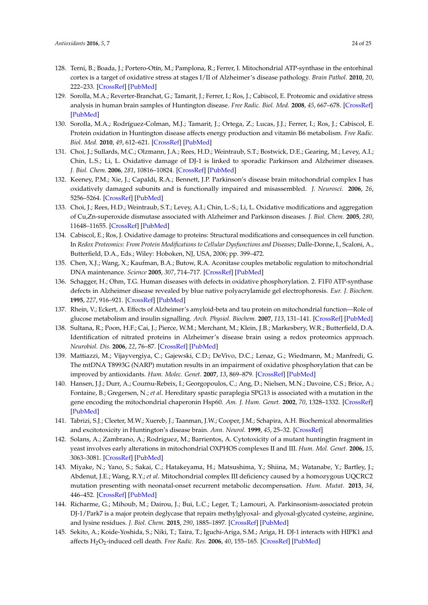- <span id="page-23-0"></span>128. Terni, B.; Boada, J.; Portero-Otín, M.; Pamplona, R.; Ferrer, I. Mitochondrial ATP-synthase in the entorhinal cortex is a target of oxidative stress at stages I/II of Alzheimer's disease pathology. *Brain Pathol.* **2010**, *20*, 222–233. [\[CrossRef\]](http://dx.doi.org/10.1111/j.1750-3639.2009.00266.x) [\[PubMed\]](http://www.ncbi.nlm.nih.gov/pubmed/19298596)
- <span id="page-23-1"></span>129. Sorolla, M.A.; Reverter-Branchat, G.; Tamarit, J.; Ferrer, I.; Ros, J.; Cabiscol, E. Proteomic and oxidative stress analysis in human brain samples of Huntington disease. *Free Radic. Biol. Med.* **2008**, *45*, 667–678. [\[CrossRef\]](http://dx.doi.org/10.1016/j.freeradbiomed.2008.05.014) [\[PubMed\]](http://www.ncbi.nlm.nih.gov/pubmed/18588971)
- <span id="page-23-2"></span>130. Sorolla, M.A.; Rodríguez-Colman, M.J.; Tamarit, J.; Ortega, Z.; Lucas, J.J.; Ferrer, I.; Ros, J.; Cabiscol, E. Protein oxidation in Huntington disease affects energy production and vitamin B6 metabolism. *Free Radic. Biol. Med.* **2010**, *49*, 612–621. [\[CrossRef\]](http://dx.doi.org/10.1016/j.freeradbiomed.2010.05.016) [\[PubMed\]](http://www.ncbi.nlm.nih.gov/pubmed/20639122)
- <span id="page-23-3"></span>131. Choi, J.; Sullards, M.C.; Olzmann, J.A.; Rees, H.D.; Weintraub, S.T.; Bostwick, D.E.; Gearing, M.; Levey, A.I.; Chin, L.S.; Li, L. Oxidative damage of DJ-1 is linked to sporadic Parkinson and Alzheimer diseases. *J. Biol. Chem.* **2006**, *281*, 10816–10824. [\[CrossRef\]](http://dx.doi.org/10.1074/jbc.M509079200) [\[PubMed\]](http://www.ncbi.nlm.nih.gov/pubmed/16517609)
- <span id="page-23-4"></span>132. Keeney, P.M.; Xie, J.; Capaldi, R.A.; Bennett, J.P. Parkinson's disease brain mitochondrial complex I has oxidatively damaged subunits and is functionally impaired and misassembled. *J. Neurosci.* **2006**, *26*, 5256–5264. [\[CrossRef\]](http://dx.doi.org/10.1523/JNEUROSCI.0984-06.2006) [\[PubMed\]](http://www.ncbi.nlm.nih.gov/pubmed/16687518)
- <span id="page-23-5"></span>133. Choi, J.; Rees, H.D.; Weintraub, S.T.; Levey, A.I.; Chin, L.-S.; Li, L. Oxidative modifications and aggregation of Cu,Zn-superoxide dismutase associated with Alzheimer and Parkinson diseases. *J. Biol. Chem.* **2005**, *280*, 11648–11655. [\[CrossRef\]](http://dx.doi.org/10.1074/jbc.M414327200) [\[PubMed\]](http://www.ncbi.nlm.nih.gov/pubmed/15659387)
- <span id="page-23-6"></span>134. Cabiscol, E.; Ros, J. Oxidative damage to proteins: Structural modifications and consequences in cell function. In *Redox Proteomics: From Protein Modifications to Cellular Dysfunctions and Diseases*; Dalle-Donne, I., Scaloni, A., Butterfield, D.A., Eds.; Wiley: Hoboken, NJ, USA, 2006; pp. 399–472.
- <span id="page-23-7"></span>135. Chen, X.J.; Wang, X.; Kaufman, B.A.; Butow, R.A. Aconitase couples metabolic regulation to mitochondrial DNA maintenance. *Science* **2005**, *307*, 714–717. [\[CrossRef\]](http://dx.doi.org/10.1126/science.1106391) [\[PubMed\]](http://www.ncbi.nlm.nih.gov/pubmed/15692048)
- <span id="page-23-8"></span>136. Schagger, H.; Ohm, T.G. Human diseases with defects in oxidative phosphorylation. 2. F1F0 ATP-synthase defects in Alzheimer disease revealed by blue native polyacrylamide gel electrophoresis. *Eur. J. Biochem.* **1995**, *227*, 916–921. [\[CrossRef\]](http://dx.doi.org/10.1111/j.1432-1033.1995.tb20219.x) [\[PubMed\]](http://www.ncbi.nlm.nih.gov/pubmed/7867655)
- <span id="page-23-9"></span>137. Rhein, V.; Eckert, A. Effects of Alzheimer's amyloid-beta and tau protein on mitochondrial function—Role of glucose metabolism and insulin signalling. *Arch. Physiol. Biochem.* **2007**, *113*, 131–141. [\[CrossRef\]](http://dx.doi.org/10.1080/13813450701572288) [\[PubMed\]](http://www.ncbi.nlm.nih.gov/pubmed/17922309)
- <span id="page-23-10"></span>138. Sultana, R.; Poon, H.F.; Cai, J.; Pierce, W.M.; Merchant, M.; Klein, J.B.; Markesbery, W.R.; Butterfield, D.A. Identification of nitrated proteins in Alzheimer's disease brain using a redox proteomics approach. *Neurobiol. Dis.* **2006**, *22*, 76–87. [\[CrossRef\]](http://dx.doi.org/10.1016/j.nbd.2005.10.004) [\[PubMed\]](http://www.ncbi.nlm.nih.gov/pubmed/16378731)
- <span id="page-23-11"></span>139. Mattiazzi, M.; Vijayvergiya, C.; Gajewski, C.D.; DeVivo, D.C.; Lenaz, G.; Wiedmann, M.; Manfredi, G. The mtDNA T8993G (NARP) mutation results in an impairment of oxidative phosphorylation that can be improved by antioxidants. *Hum. Molec. Genet.* **2007**, *13*, 869–879. [\[CrossRef\]](http://dx.doi.org/10.1093/hmg/ddh103) [\[PubMed\]](http://www.ncbi.nlm.nih.gov/pubmed/14998933)
- <span id="page-23-12"></span>140. Hansen, J.J.; Durr, A.; Cournu-Rebeix, I.; Georgopoulos, C.; Ang, D.; Nielsen, M.N.; Davoine, C.S.; Brice, A.; Fontaine, B.; Gregersen, N.; *et al*. Hereditary spastic paraplegia SPG13 is associated with a mutation in the gene encoding the mitochondrial chaperonin Hsp60. *Am. J. Hum. Genet.* **2002**, *70*, 1328–1332. [\[CrossRef\]](http://dx.doi.org/10.1086/339935) [\[PubMed\]](http://www.ncbi.nlm.nih.gov/pubmed/11898127)
- <span id="page-23-13"></span>141. Tabrizi, S.J.; Cleeter, M.W.; Xuereb, J.; Taanman, J.W.; Cooper, J.M.; Schapira, A.H. Biochemical abnormalities and excitotoxicity in Huntington's disease brain. *Ann. Neurol.* **1999**, *45*, 25–32. [\[CrossRef\]](http://dx.doi.org/10.1002/1531-8249(199901)45:1<25::AID-ART6>3.0.CO;2-E)
- <span id="page-23-14"></span>142. Solans, A.; Zambrano, A.; Rodríguez, M.; Barrientos, A. Cytotoxicity of a mutant huntingtin fragment in yeast involves early alterations in mitochondrial OXPHOS complexes II and III. *Hum. Mol. Genet.* **2006**, *15*, 3063–3081. [\[CrossRef\]](http://dx.doi.org/10.1093/hmg/ddl248) [\[PubMed\]](http://www.ncbi.nlm.nih.gov/pubmed/16968735)
- <span id="page-23-15"></span>143. Miyake, N.; Yano, S.; Sakai, C.; Hatakeyama, H.; Matsushima, Y.; Shiina, M.; Watanabe, Y.; Bartley, J.; Abdenut, J.E.; Wang, R.Y.; *et al*. Mitochondrial complex III deficiency caused by a homozygous UQCRC2 mutation presenting with neonatal-onset recurrent metabolic decompensation. *Hum. Mutat.* **2013**, *34*, 446–452. [\[CrossRef\]](http://dx.doi.org/10.1002/humu.22257) [\[PubMed\]](http://www.ncbi.nlm.nih.gov/pubmed/23281071)
- <span id="page-23-16"></span>144. Richarme, G.; Mihoub, M.; Dairou, J.; Bui, L.C.; Leger, T.; Lamouri, A. Parkinsonism-associated protein DJ-1/Park7 is a major protein deglycase that repairs methylglyoxal- and glyoxal-glycated cysteine, arginine, and lysine residues. *J. Biol. Chem.* **2015**, *290*, 1885–1897. [\[CrossRef\]](http://dx.doi.org/10.1074/jbc.M114.597815) [\[PubMed\]](http://www.ncbi.nlm.nih.gov/pubmed/25416785)
- <span id="page-23-17"></span>145. Sekito, A.; Koide-Yoshida, S.; Niki, T.; Taira, T.; Iguchi-Ariga, S.M.; Ariga, H. DJ-1 interacts with HIPK1 and affects H<sub>2</sub>O<sub>2</sub>-induced cell death. *Free Radic. Res.* **2006**, 40, 155–165. [\[CrossRef\]](http://dx.doi.org/10.1080/10715760500456847) [\[PubMed\]](http://www.ncbi.nlm.nih.gov/pubmed/16390825)